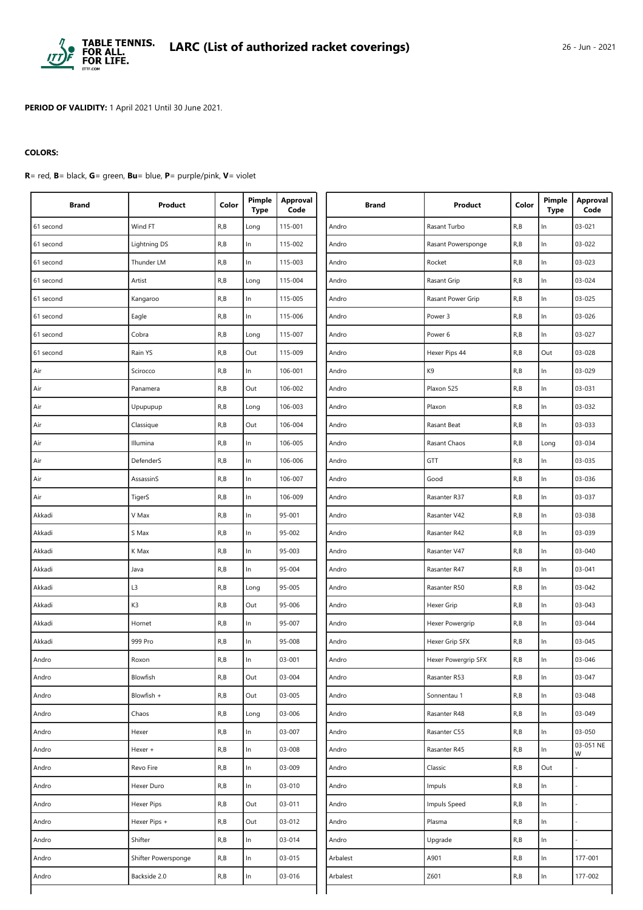

**PERIOD OF VALIDITY:** 1 April 2021 Until 30 June 2021.

## **COLORS:**

**R**= red, **B**= black, **G**= green, **Bu**= blue, **P**= purple/pink, **V**= violet

| <b>Brand</b> | Product             | Color | Pimple<br><b>Type</b> | <b>Approval</b><br>Code | <b>Brand</b> | Product             | Color                                          | Pimple<br><b>Type</b> | <b>Approval</b><br>Code |
|--------------|---------------------|-------|-----------------------|-------------------------|--------------|---------------------|------------------------------------------------|-----------------------|-------------------------|
| 61 second    | Wind FT             | R, B  | Long                  | 115-001                 | Andro        | Rasant Turbo        | R, B                                           | In                    | 03-021                  |
| 61 second    | Lightning DS        | R, B  | ln                    | 115-002                 | Andro        | Rasant Powersponge  | R, B                                           | In                    | 03-022                  |
| 61 second    | Thunder LM          | R, B  | In                    | 115-003                 | Andro        | Rocket              | R, B                                           | In                    | 03-023                  |
| 61 second    | Artist              | R, B  | Long                  | 115-004                 | Andro        | Rasant Grip         | R, B                                           | $\ln$                 | 03-024                  |
| 61 second    | Kangaroo            | R, B  | In                    | 115-005                 | Andro        | Rasant Power Grip   | R, B                                           | In                    | 03-025                  |
| 61 second    | Eagle               | R, B  | $\ln$                 | 115-006                 | Andro        | Power 3             | R, B                                           | In                    | 03-026                  |
| 61 second    | Cobra               | R, B  | Long                  | 115-007                 | Andro        | Power 6             | R, B                                           | In                    | 03-027                  |
| 61 second    | Rain YS             | R, B  | Out                   | 115-009                 | Andro        | Hexer Pips 44       | R, B                                           | Out                   | 03-028                  |
| Air          | Scirocco            | R, B  | ln                    | 106-001                 | Andro        | K9                  | R, B                                           | $\ln$                 | 03-029                  |
| Air          | Panamera            | R, B  | Out                   | 106-002                 | Andro        | Plaxon 525          | R, B                                           | In                    | 03-031                  |
| Air          | Upupupup            | R, B  | Long                  | 106-003                 | Andro        | Plaxon              | R, B                                           | In                    | 03-032                  |
| Air          | Classique           | R, B  | Out                   | 106-004                 | Andro        | Rasant Beat         | R, B                                           | In                    | 03-033                  |
| Air          | Illumina            | R, B  | ln                    | 106-005                 | Andro        | Rasant Chaos        | R, B                                           | Long                  | 03-034                  |
| Air          | DefenderS           | R, B  | $\ln$                 | 106-006                 | Andro        | GTT                 | R, B                                           | In                    | 03-035                  |
| Air          | AssassinS           | R, B  | ln                    | 106-007                 | Andro        | Good                | R, B                                           | In                    | 03-036                  |
| Air          | TigerS              | R, B  | ln                    | 106-009                 | Andro        | Rasanter R37        | R, B                                           | In                    | 03-037                  |
| Akkadi       | V Max               | R, B  | ln                    | 95-001                  | Andro        | Rasanter V42        | R, B                                           | In                    | 03-038                  |
| Akkadi       | S Max               | R, B  | $\ln$                 | 95-002                  | Andro        | Rasanter R42        | R, B                                           | $\ln$                 | 03-039                  |
| Akkadi       | K Max               | R, B  | $\ln$                 | 95-003                  | Andro        | Rasanter V47        | R, B                                           | In                    | 03-040                  |
| Akkadi       | Java                | R, B  | ln                    | 95-004                  | Andro        | Rasanter R47        | R, B                                           | In                    | 03-041                  |
| Akkadi       | L3                  | R, B  | Long                  | 95-005                  | Andro        | Rasanter R50        | R, B                                           | In                    | 03-042                  |
| Akkadi       | K3                  | R, B  | Out                   | 95-006                  | Andro        | Hexer Grip          | R, B                                           | In                    | $03 - 043$              |
| Akkadi       | Hornet              | R, B  | ln                    | 95-007                  | Andro        | Hexer Powergrip     | R, B                                           | In                    | 03-044                  |
| Akkadi       | 999 Pro             | R, B  | ln                    | 95-008                  | Andro        | Hexer Grip SFX      | R, B                                           | In                    | 03-045                  |
| Andro        | Roxon               | R, B  | $\ln$                 | 03-001                  | Andro        | Hexer Powergrip SFX | R, B                                           | In                    | 03-046                  |
| Andro        | Blowfish            | R, B  | Out                   | 03-004                  | Andro        | Rasanter R53        | R, B                                           | In                    | 03-047                  |
| Andro        | Blowfish +          | R, B  | Out                   | 03-005                  | Andro        | Sonnentau 1         | R, B                                           | $\ln$                 | 03-048                  |
| Andro        | Chaos               | R, B  | Long                  | 03-006                  | Andro        | Rasanter R48        | $\mathsf{R},\mathsf{B}$                        | $\ln$                 | 03-049                  |
| Andro        | Hexer               | R, B  | $\ln$                 | 03-007                  | Andro        | Rasanter C55        | R, B                                           | $\ln$                 | 03-050                  |
| Andro        | Hexer +             | R, B  | $\ln$                 | 03-008                  | Andro        | Rasanter R45        | $\mathsf{R},\mathsf{B}$                        | In                    | 03-051 NE<br>W          |
| Andro        | Revo Fire           | R, B  | $\ln$                 | 03-009                  | Andro        | Classic             | R, B                                           | Out                   |                         |
| Andro        | Hexer Duro          | R, B  | $\ln$                 | 03-010                  | Andro        | Impuls              | R, B                                           | $\ln$                 |                         |
| Andro        | Hexer Pips          | R, B  | Out                   | $03 - 011$              | Andro        | Impuls Speed        | $\mathsf{R},\mathsf{B}$                        | $\ln$                 |                         |
| Andro        | Hexer Pips +        | R, B  | Out                   | 03-012                  | Andro        | Plasma              | R, B                                           | In                    |                         |
| Andro        | Shifter             | R, B  | $\ln$                 | 03-014                  | Andro        | Upgrade             | $\mathsf{R},\mathsf{B}$                        | In                    |                         |
| Andro        | Shifter Powersponge | R, B  | $\ln$                 | 03-015                  | Arbalest     | A901                | R, B                                           | In                    | 177-001                 |
| Andro        | Backside 2.0        | R, B  | $\ln$                 | 03-016                  | Arbalest     | Z601                | $\mathsf{R}_{\scriptscriptstyle{I}}\mathsf{B}$ | $\ln$                 | 177-002                 |
|              |                     |       |                       |                         |              |                     |                                                |                       |                         |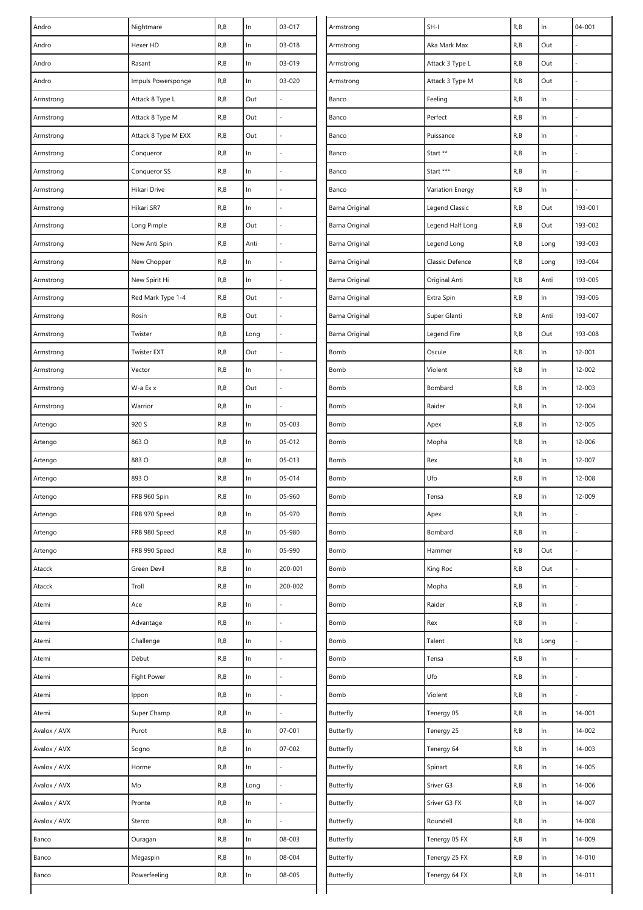| Andro        | Nightmare           | R, B | $\ln$ | 03-017  | Armstrong      | $SH-I$           | R, B | $\ln$ | 04-001  |
|--------------|---------------------|------|-------|---------|----------------|------------------|------|-------|---------|
| Andro        | Hexer HD            | R, B | In    | 03-018  | Armstrong      | Aka Mark Max     | R,B  | Out   |         |
| Andro        | Rasant              | R, B | $\ln$ | 03-019  | Armstrong      | Attack 3 Type L  | R, B | Out   |         |
| Andro        | Impuls Powersponge  | R, B | $\ln$ | 03-020  | Armstrong      | Attack 3 Type M  | R, B | Out   |         |
| Armstrong    | Attack 8 Type L     | R, B | Out   |         | Banco          | Feeling          | R, B | $\ln$ |         |
| Armstrong    | Attack 8 Type M     | R, B | Out   |         | Banco          | Perfect          | R, B | ln    |         |
| Armstrong    | Attack 8 Type M EXX | R, B | Out   |         | Banco          | Puissance        | R, B | $\ln$ |         |
| Armstrong    | Conqueror           | R, B | $\ln$ |         | Banco          | Start **         | R, B | $\ln$ |         |
| Armstrong    | Conqueror SS        | R, B | ln    |         | Banco          | Start ***        | R, B | $\ln$ |         |
| Armstrong    | Hikari Drive        | R, B | $\ln$ |         | Banco          | Variation Energy | R, B | $\ln$ |         |
| Armstrong    | Hikari SR7          | R, B | In    |         | Barna Original | Legend Classic   | R, B | Out   | 193-001 |
| Armstrong    | Long Pimple         | R, B | Out   |         | Barna Original | Legend Half Long | R, B | Out   | 193-002 |
| Armstrong    | New Anti Spin       | R, B | Anti  |         | Barna Original | Legend Long      | R,B  | Long  | 193-003 |
| Armstrong    | New Chopper         | R, B | ln    |         | Barna Original | Classic Defence  | R, B | Long  | 193-004 |
| Armstrong    | New Spirit Hi       | R, B | $\ln$ |         | Barna Original | Original Anti    | R, B | Anti  | 193-005 |
| Armstrong    | Red Mark Type 1-4   | R, B | Out   |         | Barna Original | Extra Spin       | R, B | ln    | 193-006 |
| Armstrong    | Rosin               | R, B | Out   |         | Barna Original | Super Glanti     | R, B | Anti  | 193-007 |
| Armstrong    | Twister             | R, B | Long  |         | Barna Original | Legend Fire      | R, B | Out   | 193-008 |
| Armstrong    | <b>Twister EXT</b>  | R, B | Out   |         | Bomb           | Oscule           | R, B | $\ln$ | 12-001  |
| Armstrong    | Vector              | R, B | In    |         | Bomb           | Violent          | R, B | $\ln$ | 12-002  |
| Armstrong    | W-a Ex x            | R, B | Out   |         | Bomb           | Bombard          | R, B | $\ln$ | 12-003  |
| Armstrong    | Warrior             | R, B | $\ln$ |         | Bomb           | Raider           | R, B | ln    | 12-004  |
| Artengo      | 920 S               | R, B | ln    | 05-003  | Bomb           | Apex             | R, B | $\ln$ | 12-005  |
| Artengo      | 863 O               | R, B | $\ln$ | 05-012  | Bomb           | Mopha            | R,B  | ln    | 12-006  |
| Artengo      | 883 O               | R, B | In    | 05-013  | Bomb           | Rex              | R, B | $\ln$ | 12-007  |
| Artengo      | 893 O               | R, B | $\ln$ | 05-014  | Bomb           | Ufo              | R, B | ln    | 12-008  |
| Artengo      | FRB 960 Spin        | R, B | In    | 05-960  | Bomb           | Tensa            | R, B | $\ln$ | 12-009  |
| Artengo      | FRB 970 Speed       | R, B | $\ln$ | 05-970  | Bomb           | Apex             | R, B | $\ln$ |         |
| Artengo      | FRB 980 Speed       | R, B | $\ln$ | 05-980  | Bomb           | Bombard          | R, B | $\ln$ |         |
| Artengo      | FRB 990 Speed       | R, B | In    | 05-990  | Bomb           | Hammer           | R, B | Out   |         |
| Atacck       | Green Devil         | R, B | $\ln$ | 200-001 | Bomb           | King Roc         | R, B | Out   |         |
| Atacck       | Troll               | R, B | $\ln$ | 200-002 | Bomb           | Mopha            | R, B | $\ln$ |         |
| Atemi        | Ace                 | R, B | $\ln$ |         | Bomb           | Raider           | R, B | $\ln$ |         |
| Atemi        | Advantage           | R, B | $\ln$ |         | Bomb           | Rex              | R, B | $\ln$ |         |
| Atemi        | Challenge           | R, B | $\ln$ |         | Bomb           | Talent           | R, B | Long  |         |
| Atemi        | Début               | R, B | $\ln$ |         | Bomb           | Tensa            | R, B | ln    |         |
| Atemi        | Fight Power         | R, B | ln    |         | Bomb           | Ufo              | R, B | $\ln$ |         |
| Atemi        | Ippon               | R, B | $\ln$ |         | Bomb           | Violent          | R, B | $\ln$ |         |
| Atemi        | Super Champ         | R, B | In    |         | Butterfly      | Tenergy 05       | R, B | $\ln$ | 14-001  |
| Avalox / AVX | Purot               | R, B | $\ln$ | 07-001  | Butterfly      | Tenergy 25       | R, B | In    | 14-002  |
| Avalox / AVX | Sogno               | R, B | $\ln$ | 07-002  | Butterfly      | Tenergy 64       | R, B | $\ln$ | 14-003  |
| Avalox / AVX | Horme               | R, B | ln    |         | Butterfly      | Spinart          | R, B | $\ln$ | 14-005  |
| Avalox / AVX | Mo                  | R, B | Long  |         | Butterfly      | Sriver G3        | R, B | $\ln$ | 14-006  |
| Avalox / AVX | Pronte              | R, B | $\ln$ |         | Butterfly      | Sriver G3 FX     | R, B | ln    | 14-007  |
| Avalox / AVX | Sterco              | R, B | $\ln$ |         | Butterfly      | Roundell         | R, B | ln    | 14-008  |
| Banco        | Ouragan             | R, B | ln    | 08-003  | Butterfly      | Tenergy 05 FX    | R, B | $\ln$ | 14-009  |
| Banco        | Megaspin            | R, B | $\ln$ | 08-004  | Butterfly      | Tenergy 25 FX    | R, B | $\ln$ | 14-010  |
| Banco        | Powerfeeling        | R, B | ln    | 08-005  | Butterfly      | Tenergy 64 FX    | R, B | ln    | 14-011  |
|              |                     |      |       |         |                |                  |      |       |         |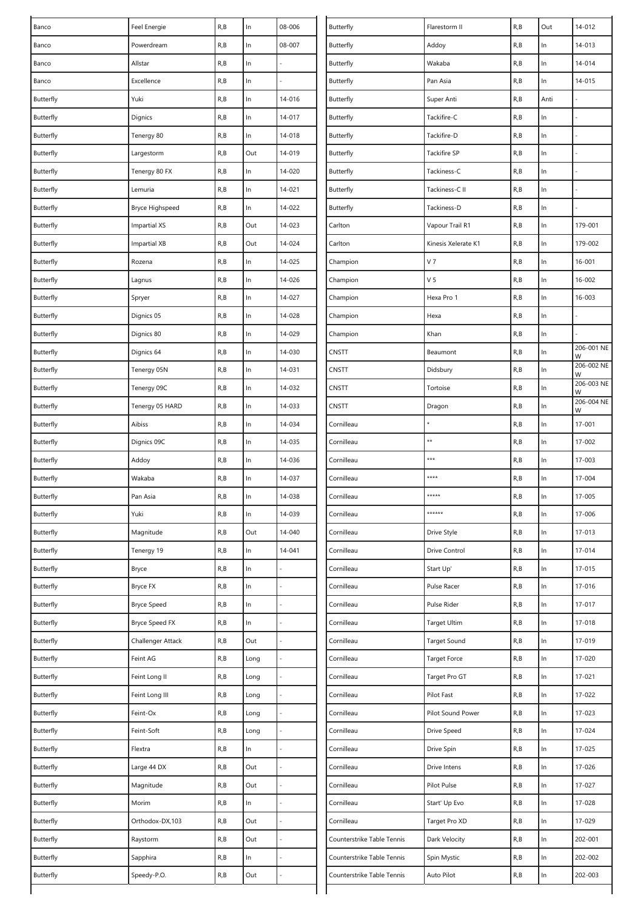| Banco     | Feel Energie           | R, B | $\ln$ | 08-006     | Butterfly                  | Flarestorm II       | R, B | Out   | 14-012          |
|-----------|------------------------|------|-------|------------|----------------------------|---------------------|------|-------|-----------------|
| Banco     | Powerdream             | R, B | ln    | 08-007     | Butterfly                  | Addoy               | R, B | In    | 14-013          |
| Banco     | Allstar                | R, B | $\ln$ |            | Butterfly                  | Wakaba              | R, B | $\ln$ | 14-014          |
| Banco     | Excellence             | R, B | $\ln$ |            | Butterfly                  | Pan Asia            | R, B | $\ln$ | 14-015          |
| Butterfly | Yuki                   | R, B | $\ln$ | 14-016     | Butterfly                  | Super Anti          | R,B  | Anti  |                 |
| Butterfly | Dignics                | R, B | In    | 14-017     | Butterfly                  | Tackifire-C         | R, B | In    |                 |
| Butterfly | Tenergy 80             | R, B | ln    | 14-018     | Butterfly                  | Tackifire-D         | R, B | $\ln$ |                 |
| Butterfly | Largestorm             | R, B | Out   | 14-019     | Butterfly                  | <b>Tackifire SP</b> | R, B | $\ln$ |                 |
| Butterfly | Tenergy 80 FX          | R, B | ln    | 14-020     | Butterfly                  | Tackiness-C         | R, B | $\ln$ |                 |
| Butterfly | Lemuria                | R, B | ln    | 14-021     | Butterfly                  | Tackiness-C II      | R, B | In    |                 |
| Butterfly | <b>Bryce Highspeed</b> | R, B | ln    | 14-022     | Butterfly                  | Tackiness-D         | R,B  | In    |                 |
| Butterfly | <b>Impartial XS</b>    | R, B | Out   | 14-023     | Carlton                    | Vapour Trail R1     | R, B | $\ln$ | 179-001         |
| Butterfly | <b>Impartial XB</b>    | R, B | Out   | 14-024     | Carlton                    | Kinesis Xelerate K1 | R,B  | $\ln$ | 179-002         |
| Butterfly | Rozena                 | R, B | ln    | 14-025     | Champion                   | V <sub>7</sub>      | R, B | $\ln$ | 16-001          |
| Butterfly | Lagnus                 | R, B | $\ln$ | 14-026     | Champion                   | V <sub>5</sub>      | R, B | $\ln$ | 16-002          |
| Butterfly | Spryer                 | R, B | ln    | 14-027     | Champion                   | Hexa Pro 1          | R, B | $\ln$ | 16-003          |
| Butterfly | Dignics 05             | R, B | ln    | 14-028     | Champion                   | Hexa                | R, B | $\ln$ |                 |
| Butterfly | Dignics 80             | R, B | $\ln$ | 14-029     | Champion                   | Khan                | R, B | $\ln$ |                 |
| Butterfly | Dignics 64             | R, B | $\ln$ | 14-030     | <b>CNSTT</b>               | Beaumont            | R, B | $\ln$ | 206-001 NE<br>W |
| Butterfly | Tenergy 05N            | R, B | ln    | 14-031     | <b>CNSTT</b>               | Didsbury            | R,B  | $\ln$ | 206-002 NE<br>W |
| Butterfly | Tenergy 09C            | R, B | In    | 14-032     | CNSTT                      | Tortoise            | R, B | In    | 206-003 NE<br>W |
| Butterfly | Tenergy 05 HARD        | R, B | $\ln$ | 14-033     | CNSTT                      | Dragon              | R, B | $\ln$ | 206-004 NE<br>W |
| Butterfly | Aibiss                 | R, B | ln    | 14-034     | Cornilleau                 |                     | R, B | $\ln$ | 17-001          |
| Butterfly | Dignics 09C            | R, B | $\ln$ | 14-035     | Cornilleau                 | $\star\star$        | R, B | $\ln$ | 17-002          |
| Butterfly | Addoy                  | R, B | ln    | 14-036     | Cornilleau                 | ***                 | R,B  | $\ln$ | 17-003          |
| Butterfly | Wakaba                 | R, B | $\ln$ | 14-037     | Cornilleau                 | ****                | R,B  | $\ln$ | 17-004          |
| Butterfly | Pan Asia               | R, B | In    | 14-038     | Cornilleau                 | *****               | R, B | $\ln$ | 17-005          |
| Butterfly | Yuki                   | R, B | In    | 14-039     | Cornilleau                 | ******              | R, B | In    | 17-006          |
| Butterfly | Magnitude              | R, B | Out   | $14 - 040$ | Cornilleau                 | Drive Style         | R, B | $\ln$ | 17-013          |
| Butterfly | Tenergy 19             | R, B | In    | $14 - 041$ | Cornilleau                 | Drive Control       | R, B | $\ln$ | 17-014          |
| Butterfly | Bryce                  | R, B | $\ln$ |            | Cornilleau                 | Start Up'           | R, B | $\ln$ | $17 - 015$      |
| Butterfly | Bryce FX               | R, B | ln    |            | Cornilleau                 | Pulse Racer         | R,B  | $\ln$ | 17-016          |
| Butterfly | <b>Bryce Speed</b>     | R, B | $\ln$ |            | Cornilleau                 | Pulse Rider         | R, B | $\ln$ | 17-017          |
| Butterfly | Bryce Speed FX         | R, B | In    |            | Cornilleau                 | <b>Target Ultim</b> | R,B  | $\ln$ | 17-018          |
| Butterfly | Challenger Attack      | R, B | Out   |            | Cornilleau                 | <b>Target Sound</b> | R, B | $\ln$ | 17-019          |
| Butterfly | Feint AG               | R, B | Long  |            | Cornilleau                 | Target Force        | R, B | $\ln$ | 17-020          |
| Butterfly | Feint Long II          | R, B | Long  |            | Cornilleau                 | Target Pro GT       | R, B | ln    | 17-021          |
| Butterfly | Feint Long III         | R, B | Long  |            | Cornilleau                 | Pilot Fast          | R, B | $\ln$ | 17-022          |
| Butterfly | Feint-Ox               | R, B | Long  |            | Cornilleau                 | Pilot Sound Power   | R, B | $\ln$ | 17-023          |
| Butterfly | Feint-Soft             | R, B | Long  |            | Cornilleau                 | Drive Speed         | R,B  | $\ln$ | 17-024          |
| Butterfly | Flextra                | R, B | $\ln$ |            | Cornilleau                 | Drive Spin          | R, B | $\ln$ | 17-025          |
| Butterfly | Large 44 DX            | R, B | Out   |            | Cornilleau                 | Drive Intens        | R,B  | ln    | 17-026          |
| Butterfly | Magnitude              | R, B | Out   |            | Cornilleau                 | Pilot Pulse         | R, B | $\ln$ | 17-027          |
| Butterfly | Morim                  | R, B | ln    |            | Cornilleau                 | Start' Up Evo       | R, B | $\ln$ | 17-028          |
| Butterfly | Orthodox-DX,103        | R, B | Out   |            | Cornilleau                 | Target Pro XD       | R, B | $\ln$ | 17-029          |
| Butterfly | Raystorm               | R, B | Out   |            | Counterstrike Table Tennis | Dark Velocity       | R,B  | ln    | 202-001         |
| Butterfly | Sapphira               | R, B | ln    |            | Counterstrike Table Tennis | Spin Mystic         | R,B  | $\ln$ | 202-002         |
| Butterfly | Speedy-P.O.            | R, B | Out   |            | Counterstrike Table Tennis | Auto Pilot          | R, B | $\ln$ | 202-003         |
|           |                        |      |       |            |                            |                     |      |       |                 |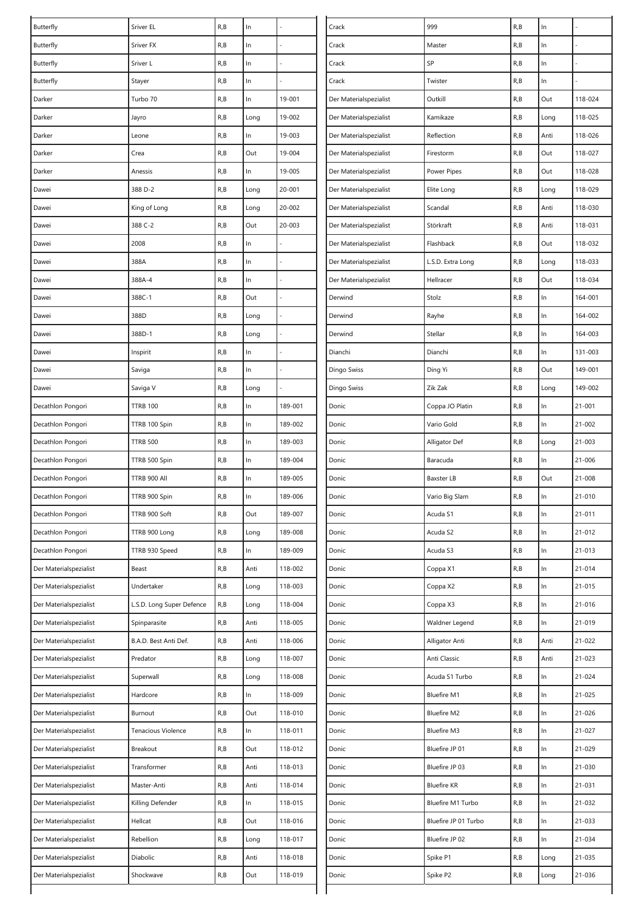| Butterfly              | Sriver EL                 | R, B | $\ln$ |         | Crack                  | 999                  | R, B | $\ln$ |            |
|------------------------|---------------------------|------|-------|---------|------------------------|----------------------|------|-------|------------|
| Butterfly              | Sriver FX                 | R, B | In    |         | Crack                  | Master               | R,B  | In    |            |
| Butterfly              | Sriver L                  | R, B | $\ln$ |         | Crack                  | SP                   | R,B  | ln    |            |
| Butterfly              | Stayer                    | R, B | $\ln$ |         | Crack                  | Twister              | R,B  | $\ln$ |            |
| Darker                 | Turbo 70                  | R, B | In    | 19-001  | Der Materialspezialist | Outkill              | R,B  | Out   | 118-024    |
| Darker                 | Jayro                     | R, B | Long  | 19-002  | Der Materialspezialist | Kamikaze             | R,B  | Long  | 118-025    |
| Darker                 | Leone                     | R, B | ln.   | 19-003  | Der Materialspezialist | Reflection           | R,B  | Anti  | 118-026    |
| Darker                 | Crea                      | R, B | Out   | 19-004  | Der Materialspezialist | Firestorm            | R,B  | Out   | 118-027    |
| Darker                 | Anessis                   | R, B | In    | 19-005  | Der Materialspezialist | Power Pipes          | R, B | Out   | 118-028    |
| Dawei                  | 388 D-2                   | R, B | Long  | 20-001  | Der Materialspezialist | Elite Long           | R, B | Long  | 118-029    |
| Dawei                  | King of Long              | R, B | Long  | 20-002  | Der Materialspezialist | Scandal              | R,B  | Anti  | 118-030    |
| Dawei                  | 388 C-2                   | R, B | Out   | 20-003  | Der Materialspezialist | Störkraft            | R, B | Anti  | 118-031    |
| Dawei                  | 2008                      | R, B | In    |         | Der Materialspezialist | Flashback            | R,B  | Out   | 118-032    |
| Dawei                  | 388A                      | R, B | In    |         | Der Materialspezialist | L.S.D. Extra Long    | R, B | Long  | 118-033    |
| Dawei                  | 388A-4                    | R, B | $\ln$ |         | Der Materialspezialist | Hellracer            | R,B  | Out   | 118-034    |
| Dawei                  | 388C-1                    | R, B | Out   |         | Derwind                | Stolz                | R, B | ln    | 164-001    |
| Dawei                  | 388D                      | R, B | Long  |         | Derwind                | Rayhe                | R,B  | $\ln$ | 164-002    |
| Dawei                  | 388D-1                    | R, B | Long  |         | Derwind                | Stellar              | R,B  | $\ln$ | 164-003    |
| Dawei                  | Inspirit                  | R, B | $\ln$ |         | Dianchi                | Dianchi              | R, B | $\ln$ | 131-003    |
| Dawei                  | Saviga                    | R, B | In    |         | Dingo Swiss            | Ding Yi              | R,B  | Out   | 149-001    |
| Dawei                  | Saviga V                  | R, B | Long  |         | Dingo Swiss            | Zik Zak              | R,B  | Long  | 149-002    |
| Decathlon Pongori      | <b>TTRB 100</b>           | R, B | In    | 189-001 | Donic                  | Coppa JO Platin      | R,B  | ln    | $21 - 001$ |
| Decathlon Pongori      | TTRB 100 Spin             | R, B | In    | 189-002 | Donic                  | Vario Gold           | R, B | $\ln$ | $21 - 002$ |
| Decathlon Pongori      | <b>TTRB 500</b>           | R, B | $\ln$ | 189-003 | Donic                  | Alligator Def        | R,B  | Long  | 21-003     |
| Decathlon Pongori      | TTRB 500 Spin             | R, B | In    | 189-004 | Donic                  | Baracuda             | R,B  | $\ln$ | $21 - 006$ |
| Decathlon Pongori      | TTRB 900 All              | R, B | In    | 189-005 | Donic                  | Baxster LB           | R,B  | Out   | 21-008     |
| Decathlon Pongori      | TTRB 900 Spin             | R, B | In    | 189-006 | Donic                  | Vario Big Slam       | R, B | ln    | 21-010     |
| Decathlon Pongori      | TTRB 900 Soft             | R, B | Out   | 189-007 | Donic                  | Acuda S1             | R, B | $\ln$ | $21 - 011$ |
| Decathlon Pongori      | TTRB 900 Long             | R, B | Long  | 189-008 | Donic                  | Acuda S2             | R,B  | $\ln$ | $21 - 012$ |
| Decathlon Pongori      | TTRB 930 Speed            | R, B | In    | 189-009 | Donic                  | Acuda S3             | R, B | $\ln$ | $21 - 013$ |
| Der Materialspezialist | Beast                     | R, B | Anti  | 118-002 | Donic                  | Coppa X1             | R,B  | $\ln$ | $21 - 014$ |
| Der Materialspezialist | Undertaker                | R, B | Long  | 118-003 | Donic                  | Coppa X2             | R,B  | $\ln$ | 21-015     |
| Der Materialspezialist | L.S.D. Long Super Defence | R, B | Long  | 118-004 | Donic                  | Coppa X3             | R, B | $\ln$ | 21-016     |
| Der Materialspezialist | Spinparasite              | R, B | Anti  | 118-005 | Donic                  | Waldner Legend       | R,B  | $\ln$ | $21 - 019$ |
| Der Materialspezialist | B.A.D. Best Anti Def.     | R, B | Anti  | 118-006 | Donic                  | Alligator Anti       | R,B  | Anti  | 21-022     |
| Der Materialspezialist | Predator                  | R, B | Long  | 118-007 | Donic                  | Anti Classic         | R,B  | Anti  | 21-023     |
| Der Materialspezialist | Superwall                 | R, B | Long  | 118-008 | Donic                  | Acuda S1 Turbo       | R, B | $\ln$ | 21-024     |
| Der Materialspezialist | Hardcore                  | R, B | In    | 118-009 | Donic                  | <b>Bluefire M1</b>   | R, B | $\ln$ | 21-025     |
| Der Materialspezialist | Burnout                   | R, B | Out   | 118-010 | Donic                  | <b>Bluefire M2</b>   | R,B  | $\ln$ | 21-026     |
| Der Materialspezialist | Tenacious Violence        | R, B | In    | 118-011 | Donic                  | <b>Bluefire M3</b>   | R, B | $\ln$ | 21-027     |
| Der Materialspezialist | Breakout                  | R, B | Out   | 118-012 | Donic                  | Bluefire JP 01       | R,B  | $\ln$ | 21-029     |
| Der Materialspezialist | Transformer               | R, B | Anti  | 118-013 | Donic                  | Bluefire JP 03       | R,B  | $\ln$ | 21-030     |
| Der Materialspezialist | Master-Anti               | R, B | Anti  | 118-014 | Donic                  | <b>Bluefire KR</b>   | R, B | $\ln$ | 21-031     |
| Der Materialspezialist | Killing Defender          | R, B | In.   | 118-015 | Donic                  | Bluefire M1 Turbo    | R, B | $\ln$ | 21-032     |
| Der Materialspezialist | Hellcat                   | R, B | Out   | 118-016 | Donic                  | Bluefire JP 01 Turbo | R,B  | $\ln$ | 21-033     |
| Der Materialspezialist | Rebellion                 | R, B | Long  | 118-017 | Donic                  | Bluefire JP 02       | R, B | $\ln$ | 21-034     |
| Der Materialspezialist | Diabolic                  | R, B | Anti  | 118-018 | Donic                  | Spike P1             | R, B | Long  | 21-035     |
| Der Materialspezialist | Shockwave                 | R, B | Out   | 118-019 | Donic                  | Spike P2             | R, B | Long  | 21-036     |
|                        |                           |      |       |         |                        |                      |      |       |            |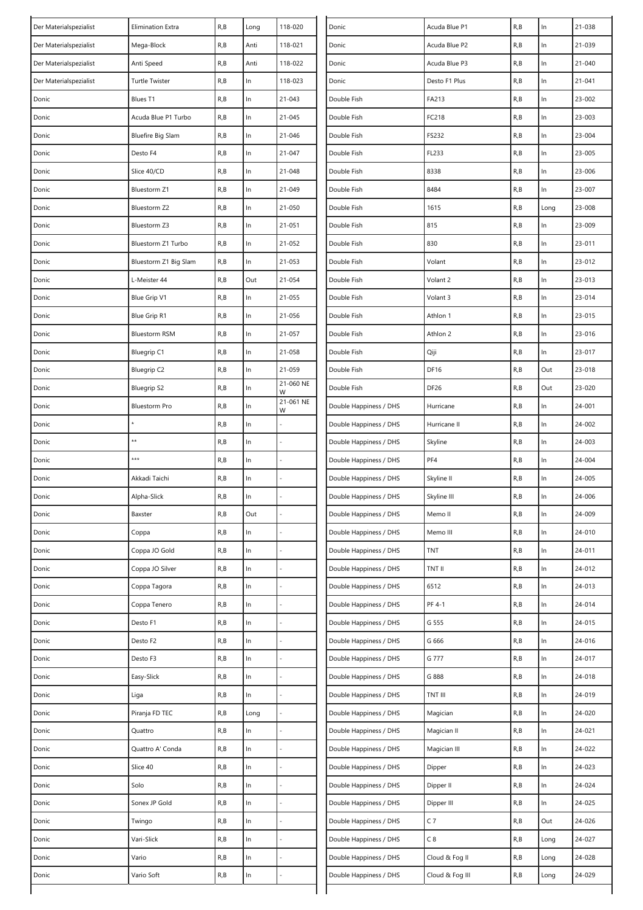| R, B<br>118-021<br>R, B<br>In<br>21-039<br>Der Materialspezialist<br>Mega-Block<br>Anti<br>Donic<br>Acuda Blue P2<br>R, B<br>Anti<br>118-022<br>R, B<br>In<br>$21 - 040$<br>Donic<br>Acuda Blue P3<br>Der Materialspezialist<br>Anti Speed<br>R, B<br>$\ln$<br>R, B<br>ln<br>118-023<br>Der Materialspezialist<br>Donic<br>Desto F1 Plus<br>21-041<br><b>Turtle Twister</b><br>R, B<br>ln<br>$21 - 043$<br>FA213<br>R, B<br>In<br>$23 - 002$<br>Donic<br>Blues T1<br>Double Fish<br>$\ln$<br>R, B<br>$21 - 045$<br>FC218<br>R, B<br>In<br>Donic<br>Acuda Blue P1 Turbo<br>Double Fish<br>23-003<br>R, B<br>$\ln$<br>21-046<br>R, B<br>In<br>Donic<br><b>Bluefire Big Slam</b><br>Double Fish<br>FS232<br>23-004<br>R, B<br>ln<br>$21 - 047$<br>FL233<br>R, B<br>In<br>23-005<br>Donic<br>Desto F4<br>Double Fish<br>ln<br>R, B<br>$\ln$<br>Slice 40/CD<br>R, B<br>21-048<br>Double Fish<br>8338<br>23-006<br>Donic<br>$\ln$<br>R, B<br>21-049<br>8484<br>R, B<br>In<br>$23 - 007$<br>Donic<br>Double Fish<br>Bluestorm Z1<br>R, B<br>ln<br>$21 - 050$<br>1615<br>R, B<br>23-008<br>Bluestorm Z2<br>Double Fish<br>Long<br>Donic<br>R, B<br>In<br>$21 - 051$<br>815<br>R, B<br>In<br>23-009<br>Donic<br>Double Fish<br>Bluestorm Z3<br>830<br>R, B<br>ln<br>21-052<br>R, B<br>In<br>23-011<br>Donic<br>Bluestorm Z1 Turbo<br>Double Fish<br>ln<br>$\ln$<br>R, B<br>21-053<br>Volant<br>R, B<br>23-012<br>Donic<br>Bluestorm Z1 Big Slam<br>Double Fish<br>R, B<br>Out<br>21-054<br>R, B<br>In<br>23-013<br>Donic<br>L-Meister 44<br>Double Fish<br>Volant 2<br>R, B<br>ln<br>21-055<br>R, B<br>In<br>23-014<br>Donic<br>Blue Grip V1<br>Double Fish<br>Volant 3<br>R, B<br>$\ln$<br>21-056<br>R, B<br>In<br>$23 - 015$<br>Double Fish<br>Athlon 1<br>Donic<br>Blue Grip R1<br>R, B<br>R, B<br>ln<br>$21 - 057$<br>Athlon 2<br>In<br>23-016<br>Donic<br><b>Bluestorm RSM</b><br>Double Fish<br>$\ln$<br>R, B<br>21-058<br>R, B<br>In<br>23-017<br>Bluegrip C1<br>Double Fish<br>Qiji<br>Donic<br>ln<br>R, B<br>21-059<br><b>DF16</b><br>R, B<br>Out<br>Donic<br>Bluegrip C2<br>Double Fish<br>23-018<br>21-060 NE<br>R, B<br>In<br>DF <sub>26</sub><br>R, B<br>Out<br>Donic<br><b>Bluegrip S2</b><br>Double Fish<br>23-020<br>W<br>21-061 NE<br>R, B<br>$\ln$<br>R, B<br>In<br>24-001<br>Donic<br><b>Bluestorm Pro</b><br>Double Happiness / DHS<br>Hurricane<br>W<br>ln<br>R, B<br>R, B<br>In<br>24-002<br>Donic<br>Double Happiness / DHS<br>Hurricane II<br>**<br>R, B<br>$\ln$<br>R, B<br>In<br>24-003<br>Donic<br>Double Happiness / DHS<br>Skyline<br>***<br>PF4<br>R, B<br>ln<br>R, B<br>In<br>24-004<br>Donic<br>Double Happiness / DHS<br>R, B<br>R, B<br>In<br>Skyline II<br>In<br>24-005<br>Donic<br>Akkadi Taichi<br>Double Happiness / DHS<br>R, B<br>R, B<br>$\ln$<br>In<br>24-006<br>Donic<br>Alpha-Slick<br>Double Happiness / DHS<br>Skyline III<br>R, B<br>R, B<br>24-009<br>Donic<br>Out<br>Double Happiness / DHS<br>In<br>Baxster<br>Memo II<br>Donic<br>R, B<br>ln<br>Double Happiness / DHS<br>R, B<br>In.<br>24-010<br>Coppa<br>Memo III<br>R, B<br>Donic<br>Coppa JO Gold<br>R, B<br>ln<br>Double Happiness / DHS<br><b>TNT</b><br>In<br>24-011<br>$\ln$<br>Coppa JO Silver<br>R, B<br>ln<br>Double Happiness / DHS<br>TNT II<br>R, B<br>24-012<br>Donic<br>6512<br>R, B<br>$\ln$<br>24-013<br>Donic<br>Coppa Tagora<br>R, B<br>ln<br>Double Happiness / DHS<br>$\ln$<br>PF 4-1<br>R, B<br>24-014<br>Coppa Tenero<br>R, B<br>Double Happiness / DHS<br>In<br>Donic<br>R, B<br>Donic<br>R, B<br>ln<br>Double Happiness / DHS<br>G 555<br>In.<br>24-015<br>Desto F1<br>G 666<br>R, B<br>In<br>Double Happiness / DHS<br>R, B<br>In<br>24-016<br>Donic<br>Desto F2<br>$\ln$<br>G 777<br>$\ln$<br>24-017<br>R, B<br>Double Happiness / DHS<br>R, B<br>Donic<br>Desto F3<br>$\ln$<br>$\ln$<br>Donic<br>Easy-Slick<br>R, B<br>Double Happiness / DHS<br>G 888<br>R, B<br>24-018<br>R, B<br>ln<br>Double Happiness / DHS<br>TNT III<br>R, B<br>In<br>24-019<br>Donic<br>Liga<br>Piranja FD TEC<br>R, B<br>Double Happiness / DHS<br>R, B<br>In<br>24-020<br>Donic<br>Long<br>Magician<br>R, B<br>R, B<br>Double Happiness / DHS<br>In<br>24-021<br>Donic<br>Quattro<br>In<br>Magician II<br>ln<br>R, B<br>$\ln$<br>Quattro A' Conda<br>R, B<br>Double Happiness / DHS<br>Magician III<br>24-022<br>Donic<br>$\ln$<br>R, B<br>Double Happiness / DHS<br>Dipper<br>R, B<br>In<br>24-023<br>Donic<br>Slice 40<br>R, B<br>Solo<br>R, B<br>ln<br>Double Happiness / DHS<br>Dipper II<br>In<br>24-024<br>Donic<br>$\ln$<br>Sonex JP Gold<br>R, B<br>Double Happiness / DHS<br>Dipper III<br>R, B<br>In.<br>24-025<br>Donic<br>$C$ 7<br>Out<br>Donic<br>R, B<br>ln<br>Double Happiness / DHS<br>R, B<br>24-026<br>Twingo<br>$\ln$<br>C8<br>24-027<br>Vari-Slick<br>R, B<br>Double Happiness / DHS<br>R, B<br>Donic<br>Long<br>$\ln$<br>Vario<br>R, B<br>Double Happiness / DHS<br>Cloud & Fog II<br>R, B<br>24-028<br>Donic<br>Long<br>R, B<br>ln<br>Double Happiness / DHS<br>Cloud & Fog III<br>R,B<br>24-029<br>Donic<br>Vario Soft<br>Long | Der Materialspezialist | <b>Elimination Extra</b> | R, B | Long | 118-020 | Donic | Acuda Blue P1 | R, B | In | 21-038 |
|---------------------------------------------------------------------------------------------------------------------------------------------------------------------------------------------------------------------------------------------------------------------------------------------------------------------------------------------------------------------------------------------------------------------------------------------------------------------------------------------------------------------------------------------------------------------------------------------------------------------------------------------------------------------------------------------------------------------------------------------------------------------------------------------------------------------------------------------------------------------------------------------------------------------------------------------------------------------------------------------------------------------------------------------------------------------------------------------------------------------------------------------------------------------------------------------------------------------------------------------------------------------------------------------------------------------------------------------------------------------------------------------------------------------------------------------------------------------------------------------------------------------------------------------------------------------------------------------------------------------------------------------------------------------------------------------------------------------------------------------------------------------------------------------------------------------------------------------------------------------------------------------------------------------------------------------------------------------------------------------------------------------------------------------------------------------------------------------------------------------------------------------------------------------------------------------------------------------------------------------------------------------------------------------------------------------------------------------------------------------------------------------------------------------------------------------------------------------------------------------------------------------------------------------------------------------------------------------------------------------------------------------------------------------------------------------------------------------------------------------------------------------------------------------------------------------------------------------------------------------------------------------------------------------------------------------------------------------------------------------------------------------------------------------------------------------------------------------------------------------------------------------------------------------------------------------------------------------------------------------------------------------------------------------------------------------------------------------------------------------------------------------------------------------------------------------------------------------------------------------------------------------------------------------------------------------------------------------------------------------------------------------------------------------------------------------------------------------------------------------------------------------------------------------------------------------------------------------------------------------------------------------------------------------------------------------------------------------------------------------------------------------------------------------------------------------------------------------------------------------------------------------------------------------------------------------------------------------------------------------------------------------------------------------------------------------------------------------------------------------------------------------------------------------------------------------------------------------------------------------------------------------------------------------------------------------------------------------------------------------------------------------------------------------------------------------------------------------------------------------------------------------------------------------------------------------------------------------------------------------------------------------------------------------------------------------------------------------------------------------------------------------------------------------------------|------------------------|--------------------------|------|------|---------|-------|---------------|------|----|--------|
|                                                                                                                                                                                                                                                                                                                                                                                                                                                                                                                                                                                                                                                                                                                                                                                                                                                                                                                                                                                                                                                                                                                                                                                                                                                                                                                                                                                                                                                                                                                                                                                                                                                                                                                                                                                                                                                                                                                                                                                                                                                                                                                                                                                                                                                                                                                                                                                                                                                                                                                                                                                                                                                                                                                                                                                                                                                                                                                                                                                                                                                                                                                                                                                                                                                                                                                                                                                                                                                                                                                                                                                                                                                                                                                                                                                                                                                                                                                                                                                                                                                                                                                                                                                                                                                                                                                                                                                                                                                                                                                                                                                                                                                                                                                                                                                                                                                                                                                                                                                                                                                         |                        |                          |      |      |         |       |               |      |    |        |
|                                                                                                                                                                                                                                                                                                                                                                                                                                                                                                                                                                                                                                                                                                                                                                                                                                                                                                                                                                                                                                                                                                                                                                                                                                                                                                                                                                                                                                                                                                                                                                                                                                                                                                                                                                                                                                                                                                                                                                                                                                                                                                                                                                                                                                                                                                                                                                                                                                                                                                                                                                                                                                                                                                                                                                                                                                                                                                                                                                                                                                                                                                                                                                                                                                                                                                                                                                                                                                                                                                                                                                                                                                                                                                                                                                                                                                                                                                                                                                                                                                                                                                                                                                                                                                                                                                                                                                                                                                                                                                                                                                                                                                                                                                                                                                                                                                                                                                                                                                                                                                                         |                        |                          |      |      |         |       |               |      |    |        |
|                                                                                                                                                                                                                                                                                                                                                                                                                                                                                                                                                                                                                                                                                                                                                                                                                                                                                                                                                                                                                                                                                                                                                                                                                                                                                                                                                                                                                                                                                                                                                                                                                                                                                                                                                                                                                                                                                                                                                                                                                                                                                                                                                                                                                                                                                                                                                                                                                                                                                                                                                                                                                                                                                                                                                                                                                                                                                                                                                                                                                                                                                                                                                                                                                                                                                                                                                                                                                                                                                                                                                                                                                                                                                                                                                                                                                                                                                                                                                                                                                                                                                                                                                                                                                                                                                                                                                                                                                                                                                                                                                                                                                                                                                                                                                                                                                                                                                                                                                                                                                                                         |                        |                          |      |      |         |       |               |      |    |        |
|                                                                                                                                                                                                                                                                                                                                                                                                                                                                                                                                                                                                                                                                                                                                                                                                                                                                                                                                                                                                                                                                                                                                                                                                                                                                                                                                                                                                                                                                                                                                                                                                                                                                                                                                                                                                                                                                                                                                                                                                                                                                                                                                                                                                                                                                                                                                                                                                                                                                                                                                                                                                                                                                                                                                                                                                                                                                                                                                                                                                                                                                                                                                                                                                                                                                                                                                                                                                                                                                                                                                                                                                                                                                                                                                                                                                                                                                                                                                                                                                                                                                                                                                                                                                                                                                                                                                                                                                                                                                                                                                                                                                                                                                                                                                                                                                                                                                                                                                                                                                                                                         |                        |                          |      |      |         |       |               |      |    |        |
|                                                                                                                                                                                                                                                                                                                                                                                                                                                                                                                                                                                                                                                                                                                                                                                                                                                                                                                                                                                                                                                                                                                                                                                                                                                                                                                                                                                                                                                                                                                                                                                                                                                                                                                                                                                                                                                                                                                                                                                                                                                                                                                                                                                                                                                                                                                                                                                                                                                                                                                                                                                                                                                                                                                                                                                                                                                                                                                                                                                                                                                                                                                                                                                                                                                                                                                                                                                                                                                                                                                                                                                                                                                                                                                                                                                                                                                                                                                                                                                                                                                                                                                                                                                                                                                                                                                                                                                                                                                                                                                                                                                                                                                                                                                                                                                                                                                                                                                                                                                                                                                         |                        |                          |      |      |         |       |               |      |    |        |
|                                                                                                                                                                                                                                                                                                                                                                                                                                                                                                                                                                                                                                                                                                                                                                                                                                                                                                                                                                                                                                                                                                                                                                                                                                                                                                                                                                                                                                                                                                                                                                                                                                                                                                                                                                                                                                                                                                                                                                                                                                                                                                                                                                                                                                                                                                                                                                                                                                                                                                                                                                                                                                                                                                                                                                                                                                                                                                                                                                                                                                                                                                                                                                                                                                                                                                                                                                                                                                                                                                                                                                                                                                                                                                                                                                                                                                                                                                                                                                                                                                                                                                                                                                                                                                                                                                                                                                                                                                                                                                                                                                                                                                                                                                                                                                                                                                                                                                                                                                                                                                                         |                        |                          |      |      |         |       |               |      |    |        |
|                                                                                                                                                                                                                                                                                                                                                                                                                                                                                                                                                                                                                                                                                                                                                                                                                                                                                                                                                                                                                                                                                                                                                                                                                                                                                                                                                                                                                                                                                                                                                                                                                                                                                                                                                                                                                                                                                                                                                                                                                                                                                                                                                                                                                                                                                                                                                                                                                                                                                                                                                                                                                                                                                                                                                                                                                                                                                                                                                                                                                                                                                                                                                                                                                                                                                                                                                                                                                                                                                                                                                                                                                                                                                                                                                                                                                                                                                                                                                                                                                                                                                                                                                                                                                                                                                                                                                                                                                                                                                                                                                                                                                                                                                                                                                                                                                                                                                                                                                                                                                                                         |                        |                          |      |      |         |       |               |      |    |        |
|                                                                                                                                                                                                                                                                                                                                                                                                                                                                                                                                                                                                                                                                                                                                                                                                                                                                                                                                                                                                                                                                                                                                                                                                                                                                                                                                                                                                                                                                                                                                                                                                                                                                                                                                                                                                                                                                                                                                                                                                                                                                                                                                                                                                                                                                                                                                                                                                                                                                                                                                                                                                                                                                                                                                                                                                                                                                                                                                                                                                                                                                                                                                                                                                                                                                                                                                                                                                                                                                                                                                                                                                                                                                                                                                                                                                                                                                                                                                                                                                                                                                                                                                                                                                                                                                                                                                                                                                                                                                                                                                                                                                                                                                                                                                                                                                                                                                                                                                                                                                                                                         |                        |                          |      |      |         |       |               |      |    |        |
|                                                                                                                                                                                                                                                                                                                                                                                                                                                                                                                                                                                                                                                                                                                                                                                                                                                                                                                                                                                                                                                                                                                                                                                                                                                                                                                                                                                                                                                                                                                                                                                                                                                                                                                                                                                                                                                                                                                                                                                                                                                                                                                                                                                                                                                                                                                                                                                                                                                                                                                                                                                                                                                                                                                                                                                                                                                                                                                                                                                                                                                                                                                                                                                                                                                                                                                                                                                                                                                                                                                                                                                                                                                                                                                                                                                                                                                                                                                                                                                                                                                                                                                                                                                                                                                                                                                                                                                                                                                                                                                                                                                                                                                                                                                                                                                                                                                                                                                                                                                                                                                         |                        |                          |      |      |         |       |               |      |    |        |
|                                                                                                                                                                                                                                                                                                                                                                                                                                                                                                                                                                                                                                                                                                                                                                                                                                                                                                                                                                                                                                                                                                                                                                                                                                                                                                                                                                                                                                                                                                                                                                                                                                                                                                                                                                                                                                                                                                                                                                                                                                                                                                                                                                                                                                                                                                                                                                                                                                                                                                                                                                                                                                                                                                                                                                                                                                                                                                                                                                                                                                                                                                                                                                                                                                                                                                                                                                                                                                                                                                                                                                                                                                                                                                                                                                                                                                                                                                                                                                                                                                                                                                                                                                                                                                                                                                                                                                                                                                                                                                                                                                                                                                                                                                                                                                                                                                                                                                                                                                                                                                                         |                        |                          |      |      |         |       |               |      |    |        |
|                                                                                                                                                                                                                                                                                                                                                                                                                                                                                                                                                                                                                                                                                                                                                                                                                                                                                                                                                                                                                                                                                                                                                                                                                                                                                                                                                                                                                                                                                                                                                                                                                                                                                                                                                                                                                                                                                                                                                                                                                                                                                                                                                                                                                                                                                                                                                                                                                                                                                                                                                                                                                                                                                                                                                                                                                                                                                                                                                                                                                                                                                                                                                                                                                                                                                                                                                                                                                                                                                                                                                                                                                                                                                                                                                                                                                                                                                                                                                                                                                                                                                                                                                                                                                                                                                                                                                                                                                                                                                                                                                                                                                                                                                                                                                                                                                                                                                                                                                                                                                                                         |                        |                          |      |      |         |       |               |      |    |        |
|                                                                                                                                                                                                                                                                                                                                                                                                                                                                                                                                                                                                                                                                                                                                                                                                                                                                                                                                                                                                                                                                                                                                                                                                                                                                                                                                                                                                                                                                                                                                                                                                                                                                                                                                                                                                                                                                                                                                                                                                                                                                                                                                                                                                                                                                                                                                                                                                                                                                                                                                                                                                                                                                                                                                                                                                                                                                                                                                                                                                                                                                                                                                                                                                                                                                                                                                                                                                                                                                                                                                                                                                                                                                                                                                                                                                                                                                                                                                                                                                                                                                                                                                                                                                                                                                                                                                                                                                                                                                                                                                                                                                                                                                                                                                                                                                                                                                                                                                                                                                                                                         |                        |                          |      |      |         |       |               |      |    |        |
|                                                                                                                                                                                                                                                                                                                                                                                                                                                                                                                                                                                                                                                                                                                                                                                                                                                                                                                                                                                                                                                                                                                                                                                                                                                                                                                                                                                                                                                                                                                                                                                                                                                                                                                                                                                                                                                                                                                                                                                                                                                                                                                                                                                                                                                                                                                                                                                                                                                                                                                                                                                                                                                                                                                                                                                                                                                                                                                                                                                                                                                                                                                                                                                                                                                                                                                                                                                                                                                                                                                                                                                                                                                                                                                                                                                                                                                                                                                                                                                                                                                                                                                                                                                                                                                                                                                                                                                                                                                                                                                                                                                                                                                                                                                                                                                                                                                                                                                                                                                                                                                         |                        |                          |      |      |         |       |               |      |    |        |
|                                                                                                                                                                                                                                                                                                                                                                                                                                                                                                                                                                                                                                                                                                                                                                                                                                                                                                                                                                                                                                                                                                                                                                                                                                                                                                                                                                                                                                                                                                                                                                                                                                                                                                                                                                                                                                                                                                                                                                                                                                                                                                                                                                                                                                                                                                                                                                                                                                                                                                                                                                                                                                                                                                                                                                                                                                                                                                                                                                                                                                                                                                                                                                                                                                                                                                                                                                                                                                                                                                                                                                                                                                                                                                                                                                                                                                                                                                                                                                                                                                                                                                                                                                                                                                                                                                                                                                                                                                                                                                                                                                                                                                                                                                                                                                                                                                                                                                                                                                                                                                                         |                        |                          |      |      |         |       |               |      |    |        |
|                                                                                                                                                                                                                                                                                                                                                                                                                                                                                                                                                                                                                                                                                                                                                                                                                                                                                                                                                                                                                                                                                                                                                                                                                                                                                                                                                                                                                                                                                                                                                                                                                                                                                                                                                                                                                                                                                                                                                                                                                                                                                                                                                                                                                                                                                                                                                                                                                                                                                                                                                                                                                                                                                                                                                                                                                                                                                                                                                                                                                                                                                                                                                                                                                                                                                                                                                                                                                                                                                                                                                                                                                                                                                                                                                                                                                                                                                                                                                                                                                                                                                                                                                                                                                                                                                                                                                                                                                                                                                                                                                                                                                                                                                                                                                                                                                                                                                                                                                                                                                                                         |                        |                          |      |      |         |       |               |      |    |        |
|                                                                                                                                                                                                                                                                                                                                                                                                                                                                                                                                                                                                                                                                                                                                                                                                                                                                                                                                                                                                                                                                                                                                                                                                                                                                                                                                                                                                                                                                                                                                                                                                                                                                                                                                                                                                                                                                                                                                                                                                                                                                                                                                                                                                                                                                                                                                                                                                                                                                                                                                                                                                                                                                                                                                                                                                                                                                                                                                                                                                                                                                                                                                                                                                                                                                                                                                                                                                                                                                                                                                                                                                                                                                                                                                                                                                                                                                                                                                                                                                                                                                                                                                                                                                                                                                                                                                                                                                                                                                                                                                                                                                                                                                                                                                                                                                                                                                                                                                                                                                                                                         |                        |                          |      |      |         |       |               |      |    |        |
|                                                                                                                                                                                                                                                                                                                                                                                                                                                                                                                                                                                                                                                                                                                                                                                                                                                                                                                                                                                                                                                                                                                                                                                                                                                                                                                                                                                                                                                                                                                                                                                                                                                                                                                                                                                                                                                                                                                                                                                                                                                                                                                                                                                                                                                                                                                                                                                                                                                                                                                                                                                                                                                                                                                                                                                                                                                                                                                                                                                                                                                                                                                                                                                                                                                                                                                                                                                                                                                                                                                                                                                                                                                                                                                                                                                                                                                                                                                                                                                                                                                                                                                                                                                                                                                                                                                                                                                                                                                                                                                                                                                                                                                                                                                                                                                                                                                                                                                                                                                                                                                         |                        |                          |      |      |         |       |               |      |    |        |
|                                                                                                                                                                                                                                                                                                                                                                                                                                                                                                                                                                                                                                                                                                                                                                                                                                                                                                                                                                                                                                                                                                                                                                                                                                                                                                                                                                                                                                                                                                                                                                                                                                                                                                                                                                                                                                                                                                                                                                                                                                                                                                                                                                                                                                                                                                                                                                                                                                                                                                                                                                                                                                                                                                                                                                                                                                                                                                                                                                                                                                                                                                                                                                                                                                                                                                                                                                                                                                                                                                                                                                                                                                                                                                                                                                                                                                                                                                                                                                                                                                                                                                                                                                                                                                                                                                                                                                                                                                                                                                                                                                                                                                                                                                                                                                                                                                                                                                                                                                                                                                                         |                        |                          |      |      |         |       |               |      |    |        |
|                                                                                                                                                                                                                                                                                                                                                                                                                                                                                                                                                                                                                                                                                                                                                                                                                                                                                                                                                                                                                                                                                                                                                                                                                                                                                                                                                                                                                                                                                                                                                                                                                                                                                                                                                                                                                                                                                                                                                                                                                                                                                                                                                                                                                                                                                                                                                                                                                                                                                                                                                                                                                                                                                                                                                                                                                                                                                                                                                                                                                                                                                                                                                                                                                                                                                                                                                                                                                                                                                                                                                                                                                                                                                                                                                                                                                                                                                                                                                                                                                                                                                                                                                                                                                                                                                                                                                                                                                                                                                                                                                                                                                                                                                                                                                                                                                                                                                                                                                                                                                                                         |                        |                          |      |      |         |       |               |      |    |        |
|                                                                                                                                                                                                                                                                                                                                                                                                                                                                                                                                                                                                                                                                                                                                                                                                                                                                                                                                                                                                                                                                                                                                                                                                                                                                                                                                                                                                                                                                                                                                                                                                                                                                                                                                                                                                                                                                                                                                                                                                                                                                                                                                                                                                                                                                                                                                                                                                                                                                                                                                                                                                                                                                                                                                                                                                                                                                                                                                                                                                                                                                                                                                                                                                                                                                                                                                                                                                                                                                                                                                                                                                                                                                                                                                                                                                                                                                                                                                                                                                                                                                                                                                                                                                                                                                                                                                                                                                                                                                                                                                                                                                                                                                                                                                                                                                                                                                                                                                                                                                                                                         |                        |                          |      |      |         |       |               |      |    |        |
|                                                                                                                                                                                                                                                                                                                                                                                                                                                                                                                                                                                                                                                                                                                                                                                                                                                                                                                                                                                                                                                                                                                                                                                                                                                                                                                                                                                                                                                                                                                                                                                                                                                                                                                                                                                                                                                                                                                                                                                                                                                                                                                                                                                                                                                                                                                                                                                                                                                                                                                                                                                                                                                                                                                                                                                                                                                                                                                                                                                                                                                                                                                                                                                                                                                                                                                                                                                                                                                                                                                                                                                                                                                                                                                                                                                                                                                                                                                                                                                                                                                                                                                                                                                                                                                                                                                                                                                                                                                                                                                                                                                                                                                                                                                                                                                                                                                                                                                                                                                                                                                         |                        |                          |      |      |         |       |               |      |    |        |
|                                                                                                                                                                                                                                                                                                                                                                                                                                                                                                                                                                                                                                                                                                                                                                                                                                                                                                                                                                                                                                                                                                                                                                                                                                                                                                                                                                                                                                                                                                                                                                                                                                                                                                                                                                                                                                                                                                                                                                                                                                                                                                                                                                                                                                                                                                                                                                                                                                                                                                                                                                                                                                                                                                                                                                                                                                                                                                                                                                                                                                                                                                                                                                                                                                                                                                                                                                                                                                                                                                                                                                                                                                                                                                                                                                                                                                                                                                                                                                                                                                                                                                                                                                                                                                                                                                                                                                                                                                                                                                                                                                                                                                                                                                                                                                                                                                                                                                                                                                                                                                                         |                        |                          |      |      |         |       |               |      |    |        |
|                                                                                                                                                                                                                                                                                                                                                                                                                                                                                                                                                                                                                                                                                                                                                                                                                                                                                                                                                                                                                                                                                                                                                                                                                                                                                                                                                                                                                                                                                                                                                                                                                                                                                                                                                                                                                                                                                                                                                                                                                                                                                                                                                                                                                                                                                                                                                                                                                                                                                                                                                                                                                                                                                                                                                                                                                                                                                                                                                                                                                                                                                                                                                                                                                                                                                                                                                                                                                                                                                                                                                                                                                                                                                                                                                                                                                                                                                                                                                                                                                                                                                                                                                                                                                                                                                                                                                                                                                                                                                                                                                                                                                                                                                                                                                                                                                                                                                                                                                                                                                                                         |                        |                          |      |      |         |       |               |      |    |        |
|                                                                                                                                                                                                                                                                                                                                                                                                                                                                                                                                                                                                                                                                                                                                                                                                                                                                                                                                                                                                                                                                                                                                                                                                                                                                                                                                                                                                                                                                                                                                                                                                                                                                                                                                                                                                                                                                                                                                                                                                                                                                                                                                                                                                                                                                                                                                                                                                                                                                                                                                                                                                                                                                                                                                                                                                                                                                                                                                                                                                                                                                                                                                                                                                                                                                                                                                                                                                                                                                                                                                                                                                                                                                                                                                                                                                                                                                                                                                                                                                                                                                                                                                                                                                                                                                                                                                                                                                                                                                                                                                                                                                                                                                                                                                                                                                                                                                                                                                                                                                                                                         |                        |                          |      |      |         |       |               |      |    |        |
|                                                                                                                                                                                                                                                                                                                                                                                                                                                                                                                                                                                                                                                                                                                                                                                                                                                                                                                                                                                                                                                                                                                                                                                                                                                                                                                                                                                                                                                                                                                                                                                                                                                                                                                                                                                                                                                                                                                                                                                                                                                                                                                                                                                                                                                                                                                                                                                                                                                                                                                                                                                                                                                                                                                                                                                                                                                                                                                                                                                                                                                                                                                                                                                                                                                                                                                                                                                                                                                                                                                                                                                                                                                                                                                                                                                                                                                                                                                                                                                                                                                                                                                                                                                                                                                                                                                                                                                                                                                                                                                                                                                                                                                                                                                                                                                                                                                                                                                                                                                                                                                         |                        |                          |      |      |         |       |               |      |    |        |
|                                                                                                                                                                                                                                                                                                                                                                                                                                                                                                                                                                                                                                                                                                                                                                                                                                                                                                                                                                                                                                                                                                                                                                                                                                                                                                                                                                                                                                                                                                                                                                                                                                                                                                                                                                                                                                                                                                                                                                                                                                                                                                                                                                                                                                                                                                                                                                                                                                                                                                                                                                                                                                                                                                                                                                                                                                                                                                                                                                                                                                                                                                                                                                                                                                                                                                                                                                                                                                                                                                                                                                                                                                                                                                                                                                                                                                                                                                                                                                                                                                                                                                                                                                                                                                                                                                                                                                                                                                                                                                                                                                                                                                                                                                                                                                                                                                                                                                                                                                                                                                                         |                        |                          |      |      |         |       |               |      |    |        |
|                                                                                                                                                                                                                                                                                                                                                                                                                                                                                                                                                                                                                                                                                                                                                                                                                                                                                                                                                                                                                                                                                                                                                                                                                                                                                                                                                                                                                                                                                                                                                                                                                                                                                                                                                                                                                                                                                                                                                                                                                                                                                                                                                                                                                                                                                                                                                                                                                                                                                                                                                                                                                                                                                                                                                                                                                                                                                                                                                                                                                                                                                                                                                                                                                                                                                                                                                                                                                                                                                                                                                                                                                                                                                                                                                                                                                                                                                                                                                                                                                                                                                                                                                                                                                                                                                                                                                                                                                                                                                                                                                                                                                                                                                                                                                                                                                                                                                                                                                                                                                                                         |                        |                          |      |      |         |       |               |      |    |        |
|                                                                                                                                                                                                                                                                                                                                                                                                                                                                                                                                                                                                                                                                                                                                                                                                                                                                                                                                                                                                                                                                                                                                                                                                                                                                                                                                                                                                                                                                                                                                                                                                                                                                                                                                                                                                                                                                                                                                                                                                                                                                                                                                                                                                                                                                                                                                                                                                                                                                                                                                                                                                                                                                                                                                                                                                                                                                                                                                                                                                                                                                                                                                                                                                                                                                                                                                                                                                                                                                                                                                                                                                                                                                                                                                                                                                                                                                                                                                                                                                                                                                                                                                                                                                                                                                                                                                                                                                                                                                                                                                                                                                                                                                                                                                                                                                                                                                                                                                                                                                                                                         |                        |                          |      |      |         |       |               |      |    |        |
|                                                                                                                                                                                                                                                                                                                                                                                                                                                                                                                                                                                                                                                                                                                                                                                                                                                                                                                                                                                                                                                                                                                                                                                                                                                                                                                                                                                                                                                                                                                                                                                                                                                                                                                                                                                                                                                                                                                                                                                                                                                                                                                                                                                                                                                                                                                                                                                                                                                                                                                                                                                                                                                                                                                                                                                                                                                                                                                                                                                                                                                                                                                                                                                                                                                                                                                                                                                                                                                                                                                                                                                                                                                                                                                                                                                                                                                                                                                                                                                                                                                                                                                                                                                                                                                                                                                                                                                                                                                                                                                                                                                                                                                                                                                                                                                                                                                                                                                                                                                                                                                         |                        |                          |      |      |         |       |               |      |    |        |
|                                                                                                                                                                                                                                                                                                                                                                                                                                                                                                                                                                                                                                                                                                                                                                                                                                                                                                                                                                                                                                                                                                                                                                                                                                                                                                                                                                                                                                                                                                                                                                                                                                                                                                                                                                                                                                                                                                                                                                                                                                                                                                                                                                                                                                                                                                                                                                                                                                                                                                                                                                                                                                                                                                                                                                                                                                                                                                                                                                                                                                                                                                                                                                                                                                                                                                                                                                                                                                                                                                                                                                                                                                                                                                                                                                                                                                                                                                                                                                                                                                                                                                                                                                                                                                                                                                                                                                                                                                                                                                                                                                                                                                                                                                                                                                                                                                                                                                                                                                                                                                                         |                        |                          |      |      |         |       |               |      |    |        |
|                                                                                                                                                                                                                                                                                                                                                                                                                                                                                                                                                                                                                                                                                                                                                                                                                                                                                                                                                                                                                                                                                                                                                                                                                                                                                                                                                                                                                                                                                                                                                                                                                                                                                                                                                                                                                                                                                                                                                                                                                                                                                                                                                                                                                                                                                                                                                                                                                                                                                                                                                                                                                                                                                                                                                                                                                                                                                                                                                                                                                                                                                                                                                                                                                                                                                                                                                                                                                                                                                                                                                                                                                                                                                                                                                                                                                                                                                                                                                                                                                                                                                                                                                                                                                                                                                                                                                                                                                                                                                                                                                                                                                                                                                                                                                                                                                                                                                                                                                                                                                                                         |                        |                          |      |      |         |       |               |      |    |        |
|                                                                                                                                                                                                                                                                                                                                                                                                                                                                                                                                                                                                                                                                                                                                                                                                                                                                                                                                                                                                                                                                                                                                                                                                                                                                                                                                                                                                                                                                                                                                                                                                                                                                                                                                                                                                                                                                                                                                                                                                                                                                                                                                                                                                                                                                                                                                                                                                                                                                                                                                                                                                                                                                                                                                                                                                                                                                                                                                                                                                                                                                                                                                                                                                                                                                                                                                                                                                                                                                                                                                                                                                                                                                                                                                                                                                                                                                                                                                                                                                                                                                                                                                                                                                                                                                                                                                                                                                                                                                                                                                                                                                                                                                                                                                                                                                                                                                                                                                                                                                                                                         |                        |                          |      |      |         |       |               |      |    |        |
|                                                                                                                                                                                                                                                                                                                                                                                                                                                                                                                                                                                                                                                                                                                                                                                                                                                                                                                                                                                                                                                                                                                                                                                                                                                                                                                                                                                                                                                                                                                                                                                                                                                                                                                                                                                                                                                                                                                                                                                                                                                                                                                                                                                                                                                                                                                                                                                                                                                                                                                                                                                                                                                                                                                                                                                                                                                                                                                                                                                                                                                                                                                                                                                                                                                                                                                                                                                                                                                                                                                                                                                                                                                                                                                                                                                                                                                                                                                                                                                                                                                                                                                                                                                                                                                                                                                                                                                                                                                                                                                                                                                                                                                                                                                                                                                                                                                                                                                                                                                                                                                         |                        |                          |      |      |         |       |               |      |    |        |
|                                                                                                                                                                                                                                                                                                                                                                                                                                                                                                                                                                                                                                                                                                                                                                                                                                                                                                                                                                                                                                                                                                                                                                                                                                                                                                                                                                                                                                                                                                                                                                                                                                                                                                                                                                                                                                                                                                                                                                                                                                                                                                                                                                                                                                                                                                                                                                                                                                                                                                                                                                                                                                                                                                                                                                                                                                                                                                                                                                                                                                                                                                                                                                                                                                                                                                                                                                                                                                                                                                                                                                                                                                                                                                                                                                                                                                                                                                                                                                                                                                                                                                                                                                                                                                                                                                                                                                                                                                                                                                                                                                                                                                                                                                                                                                                                                                                                                                                                                                                                                                                         |                        |                          |      |      |         |       |               |      |    |        |
|                                                                                                                                                                                                                                                                                                                                                                                                                                                                                                                                                                                                                                                                                                                                                                                                                                                                                                                                                                                                                                                                                                                                                                                                                                                                                                                                                                                                                                                                                                                                                                                                                                                                                                                                                                                                                                                                                                                                                                                                                                                                                                                                                                                                                                                                                                                                                                                                                                                                                                                                                                                                                                                                                                                                                                                                                                                                                                                                                                                                                                                                                                                                                                                                                                                                                                                                                                                                                                                                                                                                                                                                                                                                                                                                                                                                                                                                                                                                                                                                                                                                                                                                                                                                                                                                                                                                                                                                                                                                                                                                                                                                                                                                                                                                                                                                                                                                                                                                                                                                                                                         |                        |                          |      |      |         |       |               |      |    |        |
|                                                                                                                                                                                                                                                                                                                                                                                                                                                                                                                                                                                                                                                                                                                                                                                                                                                                                                                                                                                                                                                                                                                                                                                                                                                                                                                                                                                                                                                                                                                                                                                                                                                                                                                                                                                                                                                                                                                                                                                                                                                                                                                                                                                                                                                                                                                                                                                                                                                                                                                                                                                                                                                                                                                                                                                                                                                                                                                                                                                                                                                                                                                                                                                                                                                                                                                                                                                                                                                                                                                                                                                                                                                                                                                                                                                                                                                                                                                                                                                                                                                                                                                                                                                                                                                                                                                                                                                                                                                                                                                                                                                                                                                                                                                                                                                                                                                                                                                                                                                                                                                         |                        |                          |      |      |         |       |               |      |    |        |
|                                                                                                                                                                                                                                                                                                                                                                                                                                                                                                                                                                                                                                                                                                                                                                                                                                                                                                                                                                                                                                                                                                                                                                                                                                                                                                                                                                                                                                                                                                                                                                                                                                                                                                                                                                                                                                                                                                                                                                                                                                                                                                                                                                                                                                                                                                                                                                                                                                                                                                                                                                                                                                                                                                                                                                                                                                                                                                                                                                                                                                                                                                                                                                                                                                                                                                                                                                                                                                                                                                                                                                                                                                                                                                                                                                                                                                                                                                                                                                                                                                                                                                                                                                                                                                                                                                                                                                                                                                                                                                                                                                                                                                                                                                                                                                                                                                                                                                                                                                                                                                                         |                        |                          |      |      |         |       |               |      |    |        |
|                                                                                                                                                                                                                                                                                                                                                                                                                                                                                                                                                                                                                                                                                                                                                                                                                                                                                                                                                                                                                                                                                                                                                                                                                                                                                                                                                                                                                                                                                                                                                                                                                                                                                                                                                                                                                                                                                                                                                                                                                                                                                                                                                                                                                                                                                                                                                                                                                                                                                                                                                                                                                                                                                                                                                                                                                                                                                                                                                                                                                                                                                                                                                                                                                                                                                                                                                                                                                                                                                                                                                                                                                                                                                                                                                                                                                                                                                                                                                                                                                                                                                                                                                                                                                                                                                                                                                                                                                                                                                                                                                                                                                                                                                                                                                                                                                                                                                                                                                                                                                                                         |                        |                          |      |      |         |       |               |      |    |        |
|                                                                                                                                                                                                                                                                                                                                                                                                                                                                                                                                                                                                                                                                                                                                                                                                                                                                                                                                                                                                                                                                                                                                                                                                                                                                                                                                                                                                                                                                                                                                                                                                                                                                                                                                                                                                                                                                                                                                                                                                                                                                                                                                                                                                                                                                                                                                                                                                                                                                                                                                                                                                                                                                                                                                                                                                                                                                                                                                                                                                                                                                                                                                                                                                                                                                                                                                                                                                                                                                                                                                                                                                                                                                                                                                                                                                                                                                                                                                                                                                                                                                                                                                                                                                                                                                                                                                                                                                                                                                                                                                                                                                                                                                                                                                                                                                                                                                                                                                                                                                                                                         |                        |                          |      |      |         |       |               |      |    |        |
|                                                                                                                                                                                                                                                                                                                                                                                                                                                                                                                                                                                                                                                                                                                                                                                                                                                                                                                                                                                                                                                                                                                                                                                                                                                                                                                                                                                                                                                                                                                                                                                                                                                                                                                                                                                                                                                                                                                                                                                                                                                                                                                                                                                                                                                                                                                                                                                                                                                                                                                                                                                                                                                                                                                                                                                                                                                                                                                                                                                                                                                                                                                                                                                                                                                                                                                                                                                                                                                                                                                                                                                                                                                                                                                                                                                                                                                                                                                                                                                                                                                                                                                                                                                                                                                                                                                                                                                                                                                                                                                                                                                                                                                                                                                                                                                                                                                                                                                                                                                                                                                         |                        |                          |      |      |         |       |               |      |    |        |
|                                                                                                                                                                                                                                                                                                                                                                                                                                                                                                                                                                                                                                                                                                                                                                                                                                                                                                                                                                                                                                                                                                                                                                                                                                                                                                                                                                                                                                                                                                                                                                                                                                                                                                                                                                                                                                                                                                                                                                                                                                                                                                                                                                                                                                                                                                                                                                                                                                                                                                                                                                                                                                                                                                                                                                                                                                                                                                                                                                                                                                                                                                                                                                                                                                                                                                                                                                                                                                                                                                                                                                                                                                                                                                                                                                                                                                                                                                                                                                                                                                                                                                                                                                                                                                                                                                                                                                                                                                                                                                                                                                                                                                                                                                                                                                                                                                                                                                                                                                                                                                                         |                        |                          |      |      |         |       |               |      |    |        |
|                                                                                                                                                                                                                                                                                                                                                                                                                                                                                                                                                                                                                                                                                                                                                                                                                                                                                                                                                                                                                                                                                                                                                                                                                                                                                                                                                                                                                                                                                                                                                                                                                                                                                                                                                                                                                                                                                                                                                                                                                                                                                                                                                                                                                                                                                                                                                                                                                                                                                                                                                                                                                                                                                                                                                                                                                                                                                                                                                                                                                                                                                                                                                                                                                                                                                                                                                                                                                                                                                                                                                                                                                                                                                                                                                                                                                                                                                                                                                                                                                                                                                                                                                                                                                                                                                                                                                                                                                                                                                                                                                                                                                                                                                                                                                                                                                                                                                                                                                                                                                                                         |                        |                          |      |      |         |       |               |      |    |        |
|                                                                                                                                                                                                                                                                                                                                                                                                                                                                                                                                                                                                                                                                                                                                                                                                                                                                                                                                                                                                                                                                                                                                                                                                                                                                                                                                                                                                                                                                                                                                                                                                                                                                                                                                                                                                                                                                                                                                                                                                                                                                                                                                                                                                                                                                                                                                                                                                                                                                                                                                                                                                                                                                                                                                                                                                                                                                                                                                                                                                                                                                                                                                                                                                                                                                                                                                                                                                                                                                                                                                                                                                                                                                                                                                                                                                                                                                                                                                                                                                                                                                                                                                                                                                                                                                                                                                                                                                                                                                                                                                                                                                                                                                                                                                                                                                                                                                                                                                                                                                                                                         |                        |                          |      |      |         |       |               |      |    |        |
|                                                                                                                                                                                                                                                                                                                                                                                                                                                                                                                                                                                                                                                                                                                                                                                                                                                                                                                                                                                                                                                                                                                                                                                                                                                                                                                                                                                                                                                                                                                                                                                                                                                                                                                                                                                                                                                                                                                                                                                                                                                                                                                                                                                                                                                                                                                                                                                                                                                                                                                                                                                                                                                                                                                                                                                                                                                                                                                                                                                                                                                                                                                                                                                                                                                                                                                                                                                                                                                                                                                                                                                                                                                                                                                                                                                                                                                                                                                                                                                                                                                                                                                                                                                                                                                                                                                                                                                                                                                                                                                                                                                                                                                                                                                                                                                                                                                                                                                                                                                                                                                         |                        |                          |      |      |         |       |               |      |    |        |
|                                                                                                                                                                                                                                                                                                                                                                                                                                                                                                                                                                                                                                                                                                                                                                                                                                                                                                                                                                                                                                                                                                                                                                                                                                                                                                                                                                                                                                                                                                                                                                                                                                                                                                                                                                                                                                                                                                                                                                                                                                                                                                                                                                                                                                                                                                                                                                                                                                                                                                                                                                                                                                                                                                                                                                                                                                                                                                                                                                                                                                                                                                                                                                                                                                                                                                                                                                                                                                                                                                                                                                                                                                                                                                                                                                                                                                                                                                                                                                                                                                                                                                                                                                                                                                                                                                                                                                                                                                                                                                                                                                                                                                                                                                                                                                                                                                                                                                                                                                                                                                                         |                        |                          |      |      |         |       |               |      |    |        |
|                                                                                                                                                                                                                                                                                                                                                                                                                                                                                                                                                                                                                                                                                                                                                                                                                                                                                                                                                                                                                                                                                                                                                                                                                                                                                                                                                                                                                                                                                                                                                                                                                                                                                                                                                                                                                                                                                                                                                                                                                                                                                                                                                                                                                                                                                                                                                                                                                                                                                                                                                                                                                                                                                                                                                                                                                                                                                                                                                                                                                                                                                                                                                                                                                                                                                                                                                                                                                                                                                                                                                                                                                                                                                                                                                                                                                                                                                                                                                                                                                                                                                                                                                                                                                                                                                                                                                                                                                                                                                                                                                                                                                                                                                                                                                                                                                                                                                                                                                                                                                                                         |                        |                          |      |      |         |       |               |      |    |        |
|                                                                                                                                                                                                                                                                                                                                                                                                                                                                                                                                                                                                                                                                                                                                                                                                                                                                                                                                                                                                                                                                                                                                                                                                                                                                                                                                                                                                                                                                                                                                                                                                                                                                                                                                                                                                                                                                                                                                                                                                                                                                                                                                                                                                                                                                                                                                                                                                                                                                                                                                                                                                                                                                                                                                                                                                                                                                                                                                                                                                                                                                                                                                                                                                                                                                                                                                                                                                                                                                                                                                                                                                                                                                                                                                                                                                                                                                                                                                                                                                                                                                                                                                                                                                                                                                                                                                                                                                                                                                                                                                                                                                                                                                                                                                                                                                                                                                                                                                                                                                                                                         |                        |                          |      |      |         |       |               |      |    |        |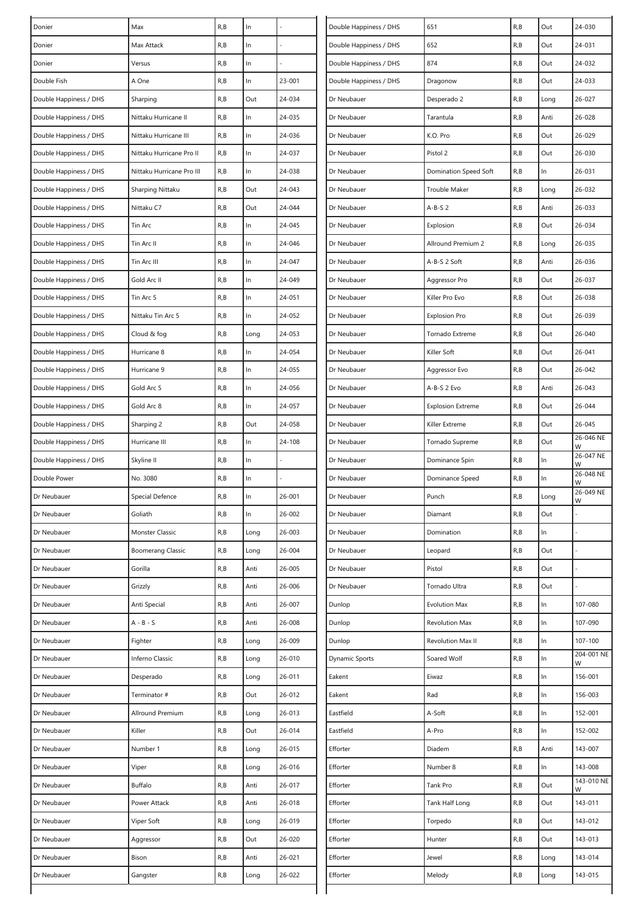| Donier                 | Max                       | R, B | $\ln$ |        | Double Happiness / DHS | 651                      | R, B | Out   | 24-030          |
|------------------------|---------------------------|------|-------|--------|------------------------|--------------------------|------|-------|-----------------|
| Donier                 | Max Attack                | R, B | In    |        | Double Happiness / DHS | 652                      | R,B  | Out   | 24-031          |
| Donier                 | Versus                    | R, B | In    |        | Double Happiness / DHS | 874                      | R,B  | Out   | 24-032          |
| Double Fish            | A One                     | R, B | In    | 23-001 | Double Happiness / DHS | Dragonow                 | R,B  | Out   | 24-033          |
| Double Happiness / DHS | Sharping                  | R, B | Out   | 24-034 | Dr Neubauer            | Desperado 2              | R,B  | Long  | 26-027          |
| Double Happiness / DHS | Nittaku Hurricane II      | R, B | In    | 24-035 | Dr Neubauer            | Tarantula                | R,B  | Anti  | 26-028          |
| Double Happiness / DHS | Nittaku Hurricane III     | R, B | In    | 24-036 | Dr Neubauer            | K.O. Pro                 | R,B  | Out   | 26-029          |
| Double Happiness / DHS | Nittaku Hurricane Pro II  | R, B | $\ln$ | 24-037 | Dr Neubauer            | Pistol 2                 | R, B | Out   | 26-030          |
| Double Happiness / DHS | Nittaku Hurricane Pro III | R, B | In    | 24-038 | Dr Neubauer            | Domination Speed Soft    | R,B  | $\ln$ | 26-031          |
| Double Happiness / DHS | Sharping Nittaku          | R, B | Out   | 24-043 | Dr Neubauer            | Trouble Maker            | R, B | Long  | 26-032          |
| Double Happiness / DHS | Nittaku C7                | R, B | Out   | 24-044 | Dr Neubauer            | $A-B-S2$                 | R,B  | Anti  | 26-033          |
| Double Happiness / DHS | Tin Arc                   | R, B | In    | 24-045 | Dr Neubauer            | Explosion                | R, B | Out   | 26-034          |
| Double Happiness / DHS | Tin Arc II                | R, B | In    | 24-046 | Dr Neubauer            | Allround Premium 2       | R,B  | Long  | 26-035          |
| Double Happiness / DHS | Tin Arc III               | R, B | In    | 24-047 | Dr Neubauer            | A-B-S 2 Soft             | R, B | Anti  | 26-036          |
| Double Happiness / DHS | Gold Arc II               | R, B | $\ln$ | 24-049 | Dr Neubauer            | Aggressor Pro            | R,B  | Out   | 26-037          |
| Double Happiness / DHS | Tin Arc 5                 | R, B | In    | 24-051 | Dr Neubauer            | Killer Pro Evo           | R,B  | Out   | 26-038          |
| Double Happiness / DHS | Nittaku Tin Arc 5         | R, B | In    | 24-052 | Dr Neubauer            | <b>Explosion Pro</b>     | R,B  | Out   | 26-039          |
| Double Happiness / DHS | Cloud & fog               | R, B | Long  | 24-053 | Dr Neubauer            | Tornado Extreme          | R,B  | Out   | 26-040          |
| Double Happiness / DHS | Hurricane 8               | R, B | $\ln$ | 24-054 | Dr Neubauer            | Killer Soft              | R, B | Out   | $26 - 041$      |
| Double Happiness / DHS | Hurricane 9               | R, B | In    | 24-055 | Dr Neubauer            | Aggressor Evo            | R,B  | Out   | 26-042          |
| Double Happiness / DHS | Gold Arc 5                | R, B | In    | 24-056 | Dr Neubauer            | A-B-S 2 Evo              | R,B  | Anti  | $26 - 043$      |
| Double Happiness / DHS | Gold Arc 8                | R, B | In    | 24-057 | Dr Neubauer            | <b>Explosion Extreme</b> | R, B | Out   | 26-044          |
| Double Happiness / DHS | Sharping 2                | R, B | Out   | 24-058 | Dr Neubauer            | Killer Extreme           | R,B  | Out   | $26 - 045$      |
| Double Happiness / DHS | Hurricane III             | R, B | $\ln$ | 24-108 | Dr Neubauer            | Tornado Supreme          | R,B  | Out   | 26-046 NE<br>W  |
| Double Happiness / DHS | Skyline II                | R, B | In    |        | Dr Neubauer            | Dominance Spin           | R,B  | $\ln$ | 26-047 NE<br>W  |
| Double Power           | No. 3080                  | R, B | In    |        | Dr Neubauer            | Dominance Speed          | R,B  | In    | 26-048 NE<br>W  |
| Dr Neubauer            | Special Defence           | R, B | In    | 26-001 | Dr Neubauer            | Punch                    | R,B  | Long  | 26-049 NE<br>W  |
| Dr Neubauer            | Goliath                   | R, B | In    | 26-002 | Dr Neubauer            | Diamant                  | R,B  | Out   |                 |
| Dr Neubauer            | Monster Classic           | R, B | Long  | 26-003 | Dr Neubauer            | Domination               | R, B | In    |                 |
| Dr Neubauer            | <b>Boomerang Classic</b>  | R, B | Long  | 26-004 | Dr Neubauer            | Leopard                  | R,B  | Out   |                 |
| Dr Neubauer            | Gorilla                   | R, B | Anti  | 26-005 | Dr Neubauer            | Pistol                   | R,B  | Out   |                 |
| Dr Neubauer            | Grizzly                   | R, B | Anti  | 26-006 | Dr Neubauer            | Tornado Ultra            | R,B  | Out   |                 |
| Dr Neubauer            | Anti Special              | R, B | Anti  | 26-007 | Dunlop                 | <b>Evolution Max</b>     | R,B  | In    | 107-080         |
| Dr Neubauer            | $A - B - S$               | R, B | Anti  | 26-008 | Dunlop                 | <b>Revolution Max</b>    | R,B  | $\ln$ | 107-090         |
| Dr Neubauer            | Fighter                   | R, B | Long  | 26-009 | Dunlop                 | <b>Revolution Max II</b> | R,B  | $\ln$ | 107-100         |
| Dr Neubauer            | Inferno Classic           | R, B | Long  | 26-010 | Dynamic Sports         | Soared Wolf              | R,B  | $\ln$ | 204-001 NE<br>W |
| Dr Neubauer            | Desperado                 | R, B | Long  | 26-011 | Eakent                 | Eiwaz                    | R, B | $\ln$ | 156-001         |
| Dr Neubauer            | Terminator #              | R, B | Out   | 26-012 | Eakent                 | Rad                      | R,B  | $\ln$ | 156-003         |
| Dr Neubauer            | Allround Premium          | R, B | Long  | 26-013 | Eastfield              | A-Soft                   | R,B  | $\ln$ | 152-001         |
| Dr Neubauer            | Killer                    | R, B | Out   | 26-014 | Eastfield              | A-Pro                    | R,B  | $\ln$ | 152-002         |
| Dr Neubauer            | Number 1                  | R, B | Long  | 26-015 | Efforter               | Diadem                   | R,B  | Anti  | 143-007         |
| Dr Neubauer            | Viper                     | R, B | Long  | 26-016 | Efforter               | Number 8                 | R, B | $\ln$ | 143-008         |
| Dr Neubauer            | Buffalo                   | R, B | Anti  | 26-017 | Efforter               | Tank Pro                 | R, B | Out   | 143-010 NE<br>W |
| Dr Neubauer            | Power Attack              | R, B | Anti  | 26-018 | Efforter               | Tank Half Long           | R,B  | Out   | 143-011         |
| Dr Neubauer            | Viper Soft                | R, B | Long  | 26-019 | Efforter               | Torpedo                  | R,B  | Out   | 143-012         |
| Dr Neubauer            | Aggressor                 | R, B | Out   | 26-020 | Efforter               | Hunter                   | R,B  | Out   | 143-013         |
| Dr Neubauer            | Bison                     | R, B | Anti  | 26-021 | Efforter               | Jewel                    | R, B | Long  | 143-014         |
| Dr Neubauer            | Gangster                  | R, B | Long  | 26-022 | Efforter               | Melody                   | R,B  | Long  | 143-015         |
|                        |                           |      |       |        |                        |                          |      |       |                 |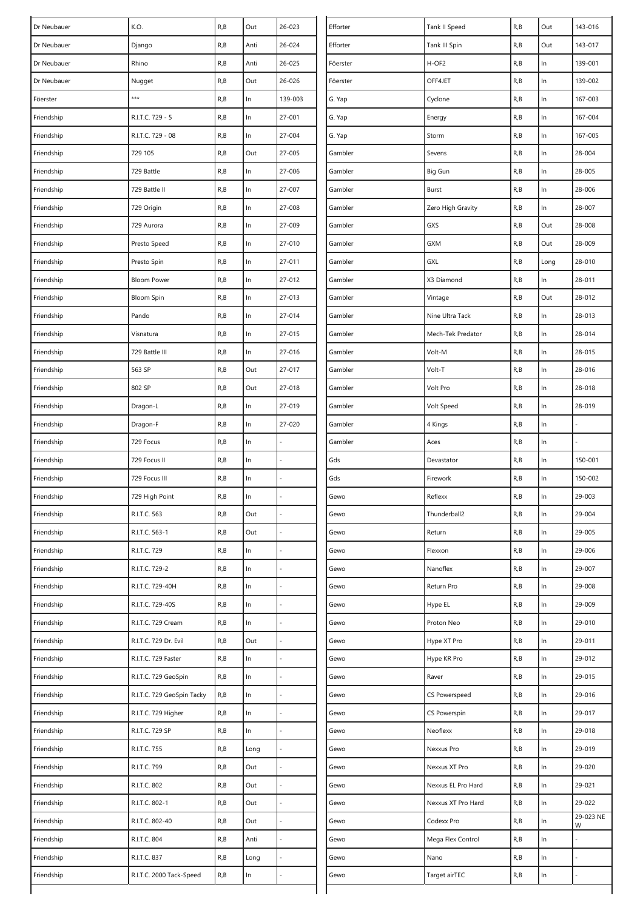| Dr Neubauer | K.O.                       | R, B | Out   | 26-023  | Efforter | Tank II Speed      | R, B | Out   | 143-016        |
|-------------|----------------------------|------|-------|---------|----------|--------------------|------|-------|----------------|
| Dr Neubauer | Django                     | R, B | Anti  | 26-024  | Efforter | Tank III Spin      | R, B | Out   | 143-017        |
| Dr Neubauer | Rhino                      | R, B | Anti  | 26-025  | Föerster | H-OF2              | R, B | ln    | 139-001        |
| Dr Neubauer | Nugget                     | R, B | Out   | 26-026  | Föerster | OFF4JET            | R, B | $\ln$ | 139-002        |
| Föerster    | ***                        | R, B | $\ln$ | 139-003 | G. Yap   | Cyclone            | R, B | In    | 167-003        |
| Friendship  | R.I.T.C. 729 - 5           | R, B | $\ln$ | 27-001  | G. Yap   | Energy             | R, B | In    | 167-004        |
| Friendship  | R.I.T.C. 729 - 08          | R, B | ln    | 27-004  | G. Yap   | Storm              | R, B | In    | 167-005        |
| Friendship  | 729 105                    | R, B | Out   | 27-005  | Gambler  | Sevens             | R, B | In    | 28-004         |
| Friendship  | 729 Battle                 | R, B | ln    | 27-006  | Gambler  | Big Gun            | R, B | $\ln$ | 28-005         |
| Friendship  | 729 Battle II              | R, B | $\ln$ | 27-007  | Gambler  | Burst              | R, B | In    | 28-006         |
| Friendship  | 729 Origin                 | R, B | ln    | 27-008  | Gambler  | Zero High Gravity  | R, B | In    | 28-007         |
| Friendship  | 729 Aurora                 | R, B | $\ln$ | 27-009  | Gambler  | GXS                | R, B | Out   | 28-008         |
| Friendship  | Presto Speed               | R, B | ln    | 27-010  | Gambler  | <b>GXM</b>         | R, B | Out   | 28-009         |
| Friendship  | Presto Spin                | R, B | $\ln$ | 27-011  | Gambler  | GXL                | R, B | Long  | 28-010         |
| Friendship  | <b>Bloom Power</b>         | R, B | $\ln$ | 27-012  | Gambler  | X3 Diamond         | R, B | In    | 28-011         |
| Friendship  | <b>Bloom Spin</b>          | R, B | ln    | 27-013  | Gambler  | Vintage            | R, B | Out   | 28-012         |
| Friendship  | Pando                      | R, B | $\ln$ | 27-014  | Gambler  | Nine Ultra Tack    | R, B | In    | 28-013         |
| Friendship  | Visnatura                  | R, B | ln    | 27-015  | Gambler  | Mech-Tek Predator  | R, B | In    | 28-014         |
| Friendship  | 729 Battle III             | R, B | $\ln$ | 27-016  | Gambler  | Volt-M             | R,B  | In    | 28-015         |
| Friendship  | 563 SP                     | R, B | Out   | 27-017  | Gambler  | Volt-T             | R,B  | In    | 28-016         |
| Friendship  | 802 SP                     | R, B | Out   | 27-018  | Gambler  | Volt Pro           | R,B  | In    | 28-018         |
| Friendship  | Dragon-L                   | R, B | $\ln$ | 27-019  | Gambler  | Volt Speed         | R, B | $\ln$ | 28-019         |
| Friendship  | Dragon-F                   | R, B | ln    | 27-020  | Gambler  | 4 Kings            | R, B | In    |                |
| Friendship  | 729 Focus                  | R, B | $\ln$ |         | Gambler  | Aces               | R, B | In    |                |
| Friendship  | 729 Focus II               | R, B | ln    |         | Gds      | Devastator         | R, B | In    | 150-001        |
| Friendship  | 729 Focus III              | R, B | $\ln$ |         | Gds      | Firework           | R,B  | ln    | 150-002        |
| Friendship  | 729 High Point             | R, B | $\ln$ |         | Gewo     | Reflexx            | R, B | $\ln$ | 29-003         |
| Friendship  | R.I.T.C. 563               | R, B | Out   |         | Gewo     | Thunderball2       | R,B  | In    | 29-004         |
| Friendship  | R.I.T.C. 563-1             | R, B | Out   |         | Gewo     | Return             | R, B | In    | 29-005         |
| Friendship  | R.I.T.C. 729               | R, B | In    |         | Gewo     | Flexxon            | R, B | $\ln$ | 29-006         |
| Friendship  | R.I.T.C. 729-2             | R, B | $\ln$ |         | Gewo     | Nanoflex           | R, B | $\ln$ | 29-007         |
| Friendship  | R.I.T.C. 729-40H           | R, B | ln    |         | Gewo     | Return Pro         | R, B | $\ln$ | 29-008         |
| Friendship  | R.I.T.C. 729-40S           | R, B | $\ln$ |         | Gewo     | Hype EL            | R, B | $\ln$ | 29-009         |
| Friendship  | R.I.T.C. 729 Cream         | R, B | ln    |         | Gewo     | Proton Neo         | R,B  | In    | 29-010         |
| Friendship  | R.I.T.C. 729 Dr. Evil      | R, B | Out   |         | Gewo     | Hype XT Pro        | R,B  | $\ln$ | 29-011         |
| Friendship  | R.I.T.C. 729 Faster        | R, B | ln    |         | Gewo     | Hype KR Pro        | R, B | $\ln$ | 29-012         |
| Friendship  | R.I.T.C. 729 GeoSpin       | R, B | ln    |         | Gewo     | Raver              | R, B | $\ln$ | 29-015         |
| Friendship  | R.I.T.C. 729 GeoSpin Tacky | R, B | ln    |         | Gewo     | CS Powerspeed      | R, B | $\ln$ | 29-016         |
| Friendship  | R.I.T.C. 729 Higher        | R, B | ln    |         | Gewo     | CS Powerspin       | R, B | In    | 29-017         |
| Friendship  | R.I.T.C. 729 SP            | R, B | ln    |         | Gewo     | Neoflexx           | R,B  | $\ln$ | 29-018         |
| Friendship  | R.I.T.C. 755               | R, B | Long  |         | Gewo     | Nexxus Pro         | R,B  | $\ln$ | 29-019         |
| Friendship  | R.I.T.C. 799               | R, B | Out   |         | Gewo     | Nexxus XT Pro      | R, B | $\ln$ | 29-020         |
| Friendship  | R.I.T.C. 802               | R, B | Out   |         | Gewo     | Nexxus EL Pro Hard | R, B | In    | 29-021         |
| Friendship  | R.I.T.C. 802-1             | R, B | Out   |         | Gewo     | Nexxus XT Pro Hard | R, B | In    | 29-022         |
| Friendship  | R.I.T.C. 802-40            | R, B | Out   | L,      | Gewo     | Codexx Pro         | R,B  | In    | 29-023 NE<br>W |
| Friendship  | R.I.T.C. 804               | R, B | Anti  |         | Gewo     | Mega Flex Control  | R, B | $\ln$ |                |
| Friendship  | R.I.T.C. 837               | R, B | Long  |         | Gewo     | Nano               | R,B  | In    |                |
| Friendship  | R.I.T.C. 2000 Tack-Speed   | R, B | In    |         | Gewo     | Target airTEC      | R, B | In    |                |
|             |                            |      |       |         |          |                    |      |       |                |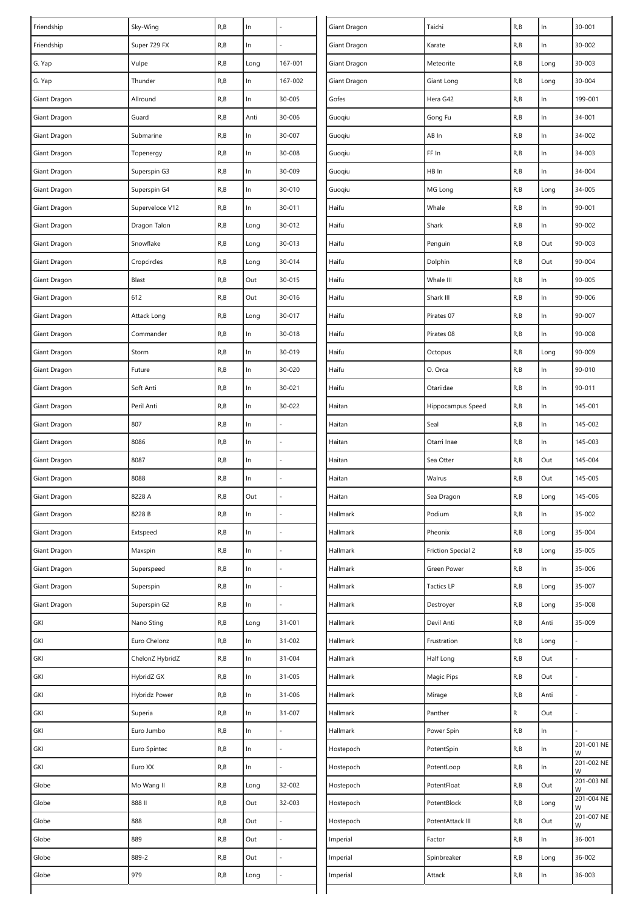| Friendship   | Sky-Wing        | R, B | $\ln$ |         | Giant Dragon | Taichi                    | R, B      | $\ln$ | $30 - 001$      |
|--------------|-----------------|------|-------|---------|--------------|---------------------------|-----------|-------|-----------------|
| Friendship   | Super 729 FX    | R, B | ln    |         | Giant Dragon | Karate                    | R, B      | $\ln$ | 30-002          |
| G. Yap       | Vulpe           | R, B | Long  | 167-001 | Giant Dragon | Meteorite                 | R, B      | Long  | 30-003          |
| G. Yap       | Thunder         | R, B | In    | 167-002 | Giant Dragon | Giant Long                | R,B       | Long  | 30-004          |
| Giant Dragon | Allround        | R, B | ln    | 30-005  | Gofes        | Hera G42                  | R, B      | In    | 199-001         |
| Giant Dragon | Guard           | R, B | Anti  | 30-006  | Guoqiu       | Gong Fu                   | R,B       | $\ln$ | 34-001          |
| Giant Dragon | Submarine       | R, B | $\ln$ | 30-007  | Guoqiu       | AB In                     | R,B       | $\ln$ | 34-002          |
| Giant Dragon | Topenergy       | R, B | ln    | 30-008  | Guoqiu       | FF In                     | R, B      | $\ln$ | 34-003          |
| Giant Dragon | Superspin G3    | R, B | $\ln$ | 30-009  | Guoqiu       | HB In                     | R, B      | $\ln$ | 34-004          |
| Giant Dragon | Superspin G4    | R, B | ln    | 30-010  | Guoqiu       | MG Long                   | R, B      | Long  | 34-005          |
| Giant Dragon | Superveloce V12 | R, B | ln    | 30-011  | Haifu        | Whale                     | R, B      | In    | 90-001          |
| Giant Dragon | Dragon Talon    | R, B | Long  | 30-012  | Haifu        | Shark                     | R, B      | $\ln$ | 90-002          |
| Giant Dragon | Snowflake       | R, B | Long  | 30-013  | Haifu        | Penguin                   | R, B      | Out   | 90-003          |
| Giant Dragon | Cropcircles     | R, B | Long  | 30-014  | Haifu        | Dolphin                   | R, B      | Out   | 90-004          |
| Giant Dragon | Blast           | R, B | Out   | 30-015  | Haifu        | Whale III                 | R, B      | $\ln$ | 90-005          |
| Giant Dragon | 612             | R, B | Out   | 30-016  | Haifu        | Shark III                 | R, B      | $\ln$ | 90-006          |
| Giant Dragon | Attack Long     | R, B | Long  | 30-017  | Haifu        | Pirates 07                | R, B      | $\ln$ | 90-007          |
| Giant Dragon | Commander       | R, B | ln    | 30-018  | Haifu        | Pirates 08                | R, B      | $\ln$ | 90-008          |
| Giant Dragon | Storm           | R, B | $\ln$ | 30-019  | Haifu        | Octopus                   | R, B      | Long  | 90-009          |
| Giant Dragon | Future          | R, B | ln    | 30-020  | Haifu        | O. Orca                   | R,B       | In    | 90-010          |
| Giant Dragon | Soft Anti       | R, B | $\ln$ | 30-021  | Haifu        | Otariidae                 | R, B      | $\ln$ | 90-011          |
| Giant Dragon | Peril Anti      | R, B | $\ln$ | 30-022  | Haitan       | Hippocampus Speed         | R,B       | $\ln$ | 145-001         |
| Giant Dragon | 807             | R, B | $\ln$ |         | Haitan       | Seal                      | R, B      | $\ln$ | 145-002         |
| Giant Dragon | 8086            | R, B | $\ln$ |         | Haitan       | Otarri Inae               | R, B      | $\ln$ | 145-003         |
| Giant Dragon | 8087            | R, B | ln    |         | Haitan       | Sea Otter                 | R, B      | Out   | 145-004         |
| Giant Dragon | 8088            | R, B | ln    |         | Haitan       | Walrus                    | R,B       | Out   | 145-005         |
| Giant Dragon | 8228 A          | R, B | Out   |         | Haitan       | Sea Dragon                | R, B      | Long  | 145-006         |
| Giant Dragon | 8228 B          | R, B | In    |         | Hallmark     | Podium                    | R, B      | In    | 35-002          |
| Giant Dragon | Extspeed        | R, B | ln    |         | Hallmark     | Pheonix                   | R,B       | Long  | 35-004          |
| Giant Dragon | Maxspin         | R, B | $\ln$ |         | Hallmark     | <b>Friction Special 2</b> | R, B      | Long  | 35-005          |
| Giant Dragon | Superspeed      | R, B | $\ln$ |         | Hallmark     | Green Power               | R, B      | $\ln$ | 35-006          |
| Giant Dragon | Superspin       | R, B | $\ln$ |         | Hallmark     | <b>Tactics LP</b>         | R, B      | Long  | 35-007          |
| Giant Dragon | Superspin G2    | R, B | ln    |         | Hallmark     | Destroyer                 | R, B      | Long  | 35-008          |
| GKI          | Nano Sting      | R, B | Long  | 31-001  | Hallmark     | Devil Anti                | R, B      | Anti  | 35-009          |
| GKI          | Euro Chelonz    | R, B | ln    | 31-002  | Hallmark     | Frustration               | R,B       | Long  |                 |
| GKI          | ChelonZ HybridZ | R, B | ln    | 31-004  | Hallmark     | Half Long                 | R, B      | Out   |                 |
| GKI          | HybridZ GX      | R, B | ln    | 31-005  | Hallmark     | Magic Pips                | R, B      | Out   |                 |
| GKI          | Hybridz Power   | R, B | $\ln$ | 31-006  | Hallmark     | Mirage                    | R, B      | Anti  |                 |
| GKI          | Superia         | R, B | ln    | 31-007  | Hallmark     | Panther                   | ${\sf R}$ | Out   |                 |
| GKI          | Euro Jumbo      | R, B | ln    |         | Hallmark     | Power Spin                | R, B      | $\ln$ |                 |
| GKI          | Euro Spintec    | R, B | ln    |         | Hostepoch    | PotentSpin                | R, B      | $\ln$ | 201-001 NE<br>W |
| GKI          | Euro XX         | R, B | ln    |         | Hostepoch    | PotentLoop                | R, B      | $\ln$ | 201-002 NE<br>W |
| Globe        | Mo Wang II      | R, B | Long  | 32-002  | Hostepoch    | PotentFloat               | R,B       | Out   | 201-003 NE<br>W |
| Globe        | 888 II          | R, B | Out   | 32-003  | Hostepoch    | PotentBlock               | R,B       | Long  | 201-004 NE<br>W |
| Globe        | 888             | R, B | Out   |         | Hostepoch    | PotentAttack III          | R, B      | Out   | 201-007 NE<br>W |
| Globe        | 889             | R, B | Out   |         | Imperial     | Factor                    | R, B      | $\ln$ | 36-001          |
| Globe        | 889-2           | R, B | Out   |         | Imperial     | Spinbreaker               | R, B      | Long  | 36-002          |
| Globe        | 979             | R, B | Long  |         | Imperial     | Attack                    | R,B       | In    | 36-003          |
|              |                 |      |       |         |              |                           |           |       |                 |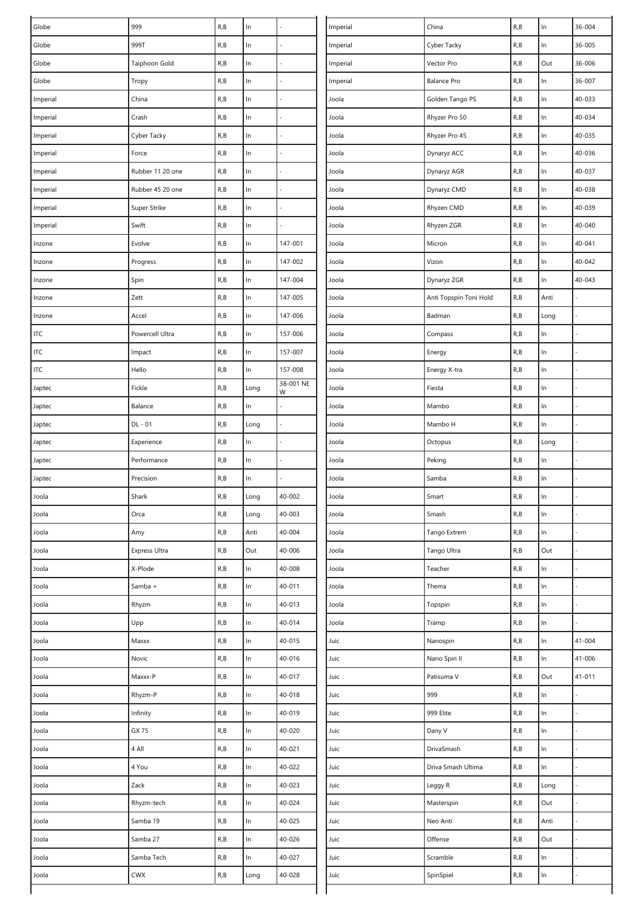| Globe    | 999              | R, B | $\ln$ |                | Imperial | China                  | R, B | $\ln$ | 36-004 |
|----------|------------------|------|-------|----------------|----------|------------------------|------|-------|--------|
| Globe    | 999T             | R, B | $\ln$ |                | Imperial | Cyber Tacky            | R, B | $\ln$ | 36-005 |
| Globe    | Taiphoon Gold    | R, B | $\ln$ |                | Imperial | Vector Pro             | R, B | Out   | 36-006 |
| Globe    | Tropy            | R, B | $\ln$ |                | Imperial | <b>Balance Pro</b>     | R, B | In    | 36-007 |
| Imperial | China            | R, B | $\ln$ |                | Joola    | Golden Tango PS        | R, B | $\ln$ | 40-033 |
| Imperial | Crash            | R, B | $\ln$ |                | Joola    | Rhyzer Pro 50          | R, B | In    | 40-034 |
| Imperial | Cyber Tacky      | R, B | $\ln$ |                | Joola    | Rhyzer Pro 45          | R, B | $\ln$ | 40-035 |
| Imperial | Force            | R, B | $\ln$ |                | Joola    | Dynaryz ACC            | R, B | $\ln$ | 40-036 |
| Imperial | Rubber 11 20 one | R, B | $\ln$ |                | Joola    | Dynaryz AGR            | R, B | $\ln$ | 40-037 |
| Imperial | Rubber 45 20 one | R, B | ln    |                | Joola    | Dynaryz CMD            | R, B | $\ln$ | 40-038 |
| Imperial | Super Strike     | R, B | In    |                | Joola    | Rhyzen CMD             | R, B | $\ln$ | 40-039 |
| Imperial | Swift            | R, B | $\ln$ |                | Joola    | Rhyzen ZGR             | R, B | $\ln$ | 40-040 |
| Inzone   | Evolve           | R, B | $\ln$ | 147-001        | Joola    | Micron                 | R, B | $\ln$ | 40-041 |
| Inzone   | Progress         | R, B | $\ln$ | 147-002        | Joola    | Vizon                  | R, B | $\ln$ | 40-042 |
| Inzone   | Spin             | R, B | $\ln$ | 147-004        | Joola    | Dynaryz ZGR            | R, B | $\ln$ | 40-043 |
| Inzone   | Zett             | R, B | ln    | 147-005        | Joola    | Anti Topspin Toni Hold | R, B | Anti  |        |
| Inzone   | Accel            | R, B | $\ln$ | 147-006        | Joola    | Badman                 | R, B | Long  |        |
| ITC      | Powercell Ultra  | R, B | $\ln$ | 157-006        | Joola    | Compass                | R, B | In    |        |
| ITC      | Impact           | R, B | $\ln$ | 157-007        | Joola    | Energy                 | R, B | $\ln$ |        |
| ITC      | Hello            | R, B | In    | 157-008        | Joola    | Energy X-tra           | R, B | In    |        |
| Japtec   | Fickle           | R, B | Long  | 38-001 NE<br>W | Joola    | Fiesta                 | R, B | $\ln$ |        |
| Japtec   | Balance          | R, B | ln    |                | Joola    | Mambo                  | R, B | $\ln$ |        |
| Japtec   | DL - 01          | R, B | Long  |                | Joola    | Mambo H                | R, B | $\ln$ |        |
| Japtec   | Experience       | R, B | ln    |                | Joola    | Octopus                | R, B | Long  |        |
| Japtec   | Performance      | R, B | ln    |                | Joola    | Peking                 | R, B | In    |        |
| Japtec   | Precision        | R, B | $\ln$ |                | Joola    | Samba                  | R, B | $\ln$ |        |
| Joola    | Shark            | R, B | Long  | 40-002         | Joola    | Smart                  | R, B | In    |        |
| Joola    | Orca             | R, B | Long  | 40-003         | Joola    | Smash                  | R, B | In    |        |
| Joola    | Amy              | R, B | Anti  | 40-004         | Joola    | Tango Extrem           | R, B | $\ln$ |        |
| Joola    | Express Ultra    | R, B | Out   | 40-006         | Joola    | Tango Ultra            | R, B | Out   |        |
| Joola    | X-Plode          | R, B | $\ln$ | 40-008         | Joola    | Teacher                | R, B | $\ln$ |        |
| Joola    | Samba +          | R, B | $\ln$ | 40-011         | Joola    | Thema                  | R, B | $\ln$ |        |
| Joola    | Rhyzm            | R, B | $\ln$ | 40-013         | Joola    | Topspin                | R, B | $\ln$ |        |
| Joola    | Upp              | R, B | $\ln$ | 40-014         | Joola    | Tramp                  | R, B | In    |        |
| Joola    | Maxxx            | R, B | $\ln$ | 40-015         | Juic     | Nanospin               | R, B | $\ln$ | 41-004 |
| Joola    | Novic            | R, B | $\ln$ | 40-016         | Juic     | Nano Spin II           | R, B | $\ln$ | 41-006 |
| Joola    | Maxxx-P          | R, B | $\ln$ | 40-017         | Juic     | Patisuma V             | R, B | Out   | 41-011 |
| Joola    | Rhyzm-P          | R, B | $\ln$ | 40-018         | Juic     | 999                    | R, B | $\ln$ |        |
| Joola    | Infinity         | R, B | ln    | 40-019         | Juic     | 999 Elite              | R, B | $\ln$ |        |
| Joola    | GX 75            | R, B | $\ln$ | 40-020         | Juic     | Dany V                 | R, B | $\ln$ |        |
| Joola    | 4 All            | R, B | $\ln$ | 40-021         | Juic     | DrivaSmash             | R, B | $\ln$ |        |
| Joola    | 4 You            | R, B | $\ln$ | 40-022         | Juic     | Driva Smash Ultima     | R, B | ln    |        |
| Joola    | Zack             | R, B | $\ln$ | 40-023         | Juic     | Leggy R                | R, B | Long  |        |
| Joola    | Rhyzm-tech       | R, B | $\ln$ | 40-024         | Juic     | Masterspin             | R, B | Out   |        |
| Joola    | Samba 19         | R, B | $\ln$ | 40-025         | Juic     | Neo Anti               | R, B | Anti  |        |
| Joola    | Samba 27         | R, B | $\ln$ | 40-026         | Juic     | Offense                | R, B | Out   |        |
| Joola    | Samba Tech       | R, B | $\ln$ | 40-027         | Juic     | Scramble               | R, B | $\ln$ |        |
| Joola    | <b>CWX</b>       | R, B | Long  | 40-028         | Juic     | SpinSpiel              | R, B | In    |        |
|          |                  |      |       |                |          |                        |      |       |        |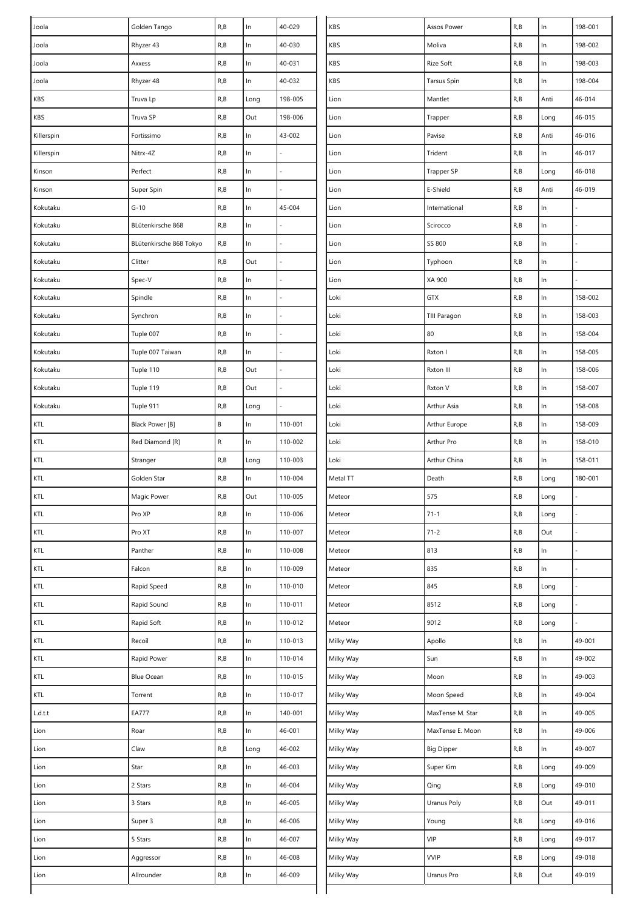| Joola                            | Golden Tango            | R, B                    | $\ln$ | 40-029  | KBS       | Assos Power        | R, B | In    | 198-001 |
|----------------------------------|-------------------------|-------------------------|-------|---------|-----------|--------------------|------|-------|---------|
| Joola                            | Rhyzer 43               | R, B                    | $\ln$ | 40-030  | KBS       | Moliva             | R, B | $\ln$ | 198-002 |
| Joola                            | Axxess                  | R, B                    | ln    | 40-031  | KBS       | Rize Soft          | R, B | $\ln$ | 198-003 |
| Joola                            | Rhyzer 48               | R, B                    | ln    | 40-032  | KBS       | <b>Tarsus Spin</b> | R, B | In    | 198-004 |
| KBS                              | Truva Lp                | R, B                    | Long  | 198-005 | Lion      | Mantlet            | R, B | Anti  | 46-014  |
| KBS                              | Truva SP                | R, B                    | Out   | 198-006 | Lion      | Trapper            | R, B | Long  | 46-015  |
| Killerspin                       | Fortissimo              | R, B                    | $\ln$ | 43-002  | Lion      | Pavise             | R, B | Anti  | 46-016  |
| Killerspin                       | Nitrx-4Z                | R, B                    | $\ln$ |         | Lion      | Trident            | R, B | In    | 46-017  |
| Kinson                           | Perfect                 | R, B                    | $\ln$ |         | Lion      | Trapper SP         | R, B | Long  | 46-018  |
| Kinson                           | Super Spin              | R, B                    | $\ln$ |         | Lion      | E-Shield           | R, B | Anti  | 46-019  |
| Kokutaku                         | $G-10$                  | R, B                    | ln    | 45-004  | Lion      | International      | R, B | In    |         |
| Kokutaku                         | BLütenkirsche 868       | R, B                    | $\ln$ |         | Lion      | Scirocco           | R, B | $\ln$ |         |
| Kokutaku                         | BLütenkirsche 868 Tokyo | R, B                    | $\ln$ |         | Lion      | SS 800             | R, B | $\ln$ |         |
| Kokutaku                         | Clitter                 | R, B                    | Out   |         | Lion      | Typhoon            | R, B | In    |         |
| Kokutaku                         | Spec-V                  | R, B                    | In    |         | Lion      | XA 900             | R, B | In    |         |
| Kokutaku                         | Spindle                 | R, B                    | $\ln$ |         | Loki      | GTX                | R, B | $\ln$ | 158-002 |
| Kokutaku                         | Synchron                | R, B                    | $\ln$ |         | Loki      | TIII Paragon       | R, B | $\ln$ | 158-003 |
| Kokutaku                         | Tuple 007               | R, B                    | $\ln$ |         | Loki      | 80                 | R, B | $\ln$ | 158-004 |
| Kokutaku                         | Tuple 007 Taiwan        | R, B                    | $\ln$ |         | Loki      | Rxton I            | R, B | $\ln$ | 158-005 |
| Kokutaku                         | Tuple 110               | R, B                    | Out   |         | Loki      | Rxton III          | R, B | $\ln$ | 158-006 |
| Kokutaku                         | Tuple 119               | R, B                    | Out   |         | Loki      | Rxton V            | R, B | $\ln$ | 158-007 |
| Kokutaku                         | Tuple 911               | R, B                    | Long  |         | Loki      | Arthur Asia        | R, B | $\ln$ | 158-008 |
| KTL                              | Black Power [B]         | $\sf B$                 | $\ln$ | 110-001 | Loki      | Arthur Europe      | R, B | $\ln$ | 158-009 |
| KTL                              | Red Diamond [R]         | ${\sf R}$               | $\ln$ | 110-002 | Loki      | Arthur Pro         | R, B | In    | 158-010 |
| KTL                              | Stranger                | R, B                    | Long  | 110-003 | Loki      | Arthur China       | R, B | In    | 158-011 |
| KTL                              | Golden Star             | R, B                    | ln    | 110-004 | Metal TT  | Death              | R, B | Long  | 180-001 |
| KTL                              | Magic Power             | R, B                    | Out   | 110-005 | Meteor    | 575                | R, B | Long  |         |
| KTL                              | Pro XP                  | R, B                    | In    | 110-006 | Meteor    | $71 - 1$           | R, B | Long  |         |
| KTL                              | Pro XT                  | R, B                    | $\ln$ | 110-007 | Meteor    | $71 - 2$           | R, B | Out   |         |
| KTL                              | Panther                 | R, B                    | In    | 110-008 | Meteor    | 813                | R, B | $\ln$ |         |
| KTL                              | Falcon                  | R, B                    | In    | 110-009 | Meteor    | 835                | R, B | $\ln$ |         |
| KTL                              | Rapid Speed             | R, B                    | $\ln$ | 110-010 | Meteor    | 845                | R, B | Long  |         |
| KTL                              | Rapid Sound             | R, B                    | $\ln$ | 110-011 | Meteor    | 8512               | R, B | Long  |         |
| KTL                              | Rapid Soft              | R, B                    | $\ln$ | 110-012 | Meteor    | 9012               | R, B | Long  |         |
| KTL                              | Recoil                  | R, B                    | In    | 110-013 | Milky Way | Apollo             | R, B | ln    | 49-001  |
| $\mathsf{K}\mathsf{T}\mathsf{L}$ | Rapid Power             | $\mathsf{R},\mathsf{B}$ | $\ln$ | 110-014 | Milky Way | Sun                | R, B | $\ln$ | 49-002  |
| $\mathsf{KTL}$                   | Blue Ocean              | R, B                    | $\ln$ | 110-015 | Milky Way | Moon               | R, B | $\ln$ | 49-003  |
| KTL                              | Torrent                 | R, B                    | $\ln$ | 110-017 | Milky Way | Moon Speed         | R, B | $\ln$ | 49-004  |
| L.d.t.t                          | <b>EA777</b>            | R, B                    | $\ln$ | 140-001 | Milky Way | MaxTense M. Star   | R, B | $\ln$ | 49-005  |
| Lion                             | Roar                    | R, B                    | $\ln$ | 46-001  | Milky Way | MaxTense E. Moon   | R, B | $\ln$ | 49-006  |
| Lion                             | Claw                    | R, B                    | Long  | 46-002  | Milky Way | <b>Big Dipper</b>  | R, B | $\ln$ | 49-007  |
| Lion                             | Star                    | R, B                    | $\ln$ | 46-003  | Milky Way | Super Kim          | R, B | Long  | 49-009  |
| Lion                             | 2 Stars                 | $\mathsf{R},\mathsf{B}$ | In    | 46-004  | Milky Way | Qing               | R, B | Long  | 49-010  |
| Lion                             | 3 Stars                 | R, B                    | In    | 46-005  | Milky Way | Uranus Poly        | R, B | Out   | 49-011  |
| Lion                             | Super 3                 | R, B                    | ln    | 46-006  | Milky Way | Young              | R, B | Long  | 49-016  |
| Lion                             | 5 Stars                 | R, B                    | $\ln$ | 46-007  | Milky Way | VIP                | R, B | Long  | 49-017  |
| Lion                             | Aggressor               | R, B                    | $\ln$ | 46-008  | Milky Way | <b>VVIP</b>        | R, B | Long  | 49-018  |
| Lion                             | Allrounder              | R, B                    | ln    | 46-009  | Milky Way | Uranus Pro         | R, B | Out   | 49-019  |
|                                  |                         |                         |       |         |           |                    |      |       |         |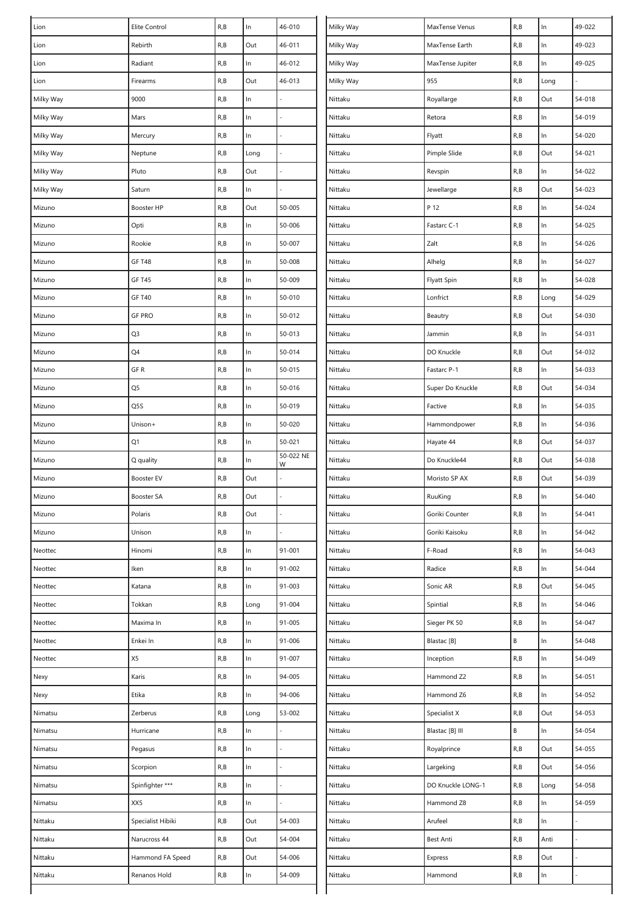| Lion      | Elite Control     | R, B | $\ln$ | 46-010         | Milky Way | MaxTense Venus    | R, B | $\ln$ | 49-022 |
|-----------|-------------------|------|-------|----------------|-----------|-------------------|------|-------|--------|
| Lion      | Rebirth           | R, B | Out   | 46-011         | Milky Way | MaxTense Earth    | R, B | $\ln$ | 49-023 |
| Lion      | Radiant           | R, B | ln    | 46-012         | Milky Way | MaxTense Jupiter  | R, B | $\ln$ | 49-025 |
| Lion      | Firearms          | R, B | Out   | 46-013         | Milky Way | 955               | R, B | Long  |        |
| Milky Way | 9000              | R, B | $\ln$ |                | Nittaku   | Royallarge        | R, B | Out   | 54-018 |
| Milky Way | Mars              | R, B | $\ln$ |                | Nittaku   | Retora            | R, B | In    | 54-019 |
| Milky Way | Mercury           | R, B | $\ln$ |                | Nittaku   | Flyatt            | R, B | $\ln$ | 54-020 |
| Milky Way | Neptune           | R, B | Long  |                | Nittaku   | Pimple Slide      | R, B | Out   | 54-021 |
| Milky Way | Pluto             | R, B | Out   |                | Nittaku   | Revspin           | R, B | $\ln$ | 54-022 |
| Milky Way | Saturn            | R, B | ln    |                | Nittaku   | Jewellarge        | R, B | Out   | 54-023 |
| Mizuno    | Booster HP        | R, B | Out   | 50-005         | Nittaku   | P 12              | R, B | $\ln$ | 54-024 |
| Mizuno    | Opti              | R, B | $\ln$ | 50-006         | Nittaku   | Fastarc C-1       | R, B | $\ln$ | 54-025 |
| Mizuno    | Rookie            | R, B | $\ln$ | 50-007         | Nittaku   | Zalt              | R, B | $\ln$ | 54-026 |
| Mizuno    | <b>GF T48</b>     | R, B | $\ln$ | 50-008         | Nittaku   | Alhelg            | R, B | $\ln$ | 54-027 |
| Mizuno    | <b>GF T45</b>     | R, B | $\ln$ | 50-009         | Nittaku   | Flyatt Spin       | R, B | $\ln$ | 54-028 |
| Mizuno    | <b>GF T40</b>     | R, B | ln    | 50-010         | Nittaku   | Lonfrict          | R, B | Long  | 54-029 |
| Mizuno    | <b>GF PRO</b>     | R, B | $\ln$ | 50-012         | Nittaku   | Beautry           | R, B | Out   | 54-030 |
| Mizuno    | Q3                | R, B | $\ln$ | 50-013         | Nittaku   | Jammin            | R, B | ln    | 54-031 |
| Mizuno    | Q4                | R, B | $\ln$ | 50-014         | Nittaku   | DO Knuckle        | R, B | Out   | 54-032 |
| Mizuno    | GF R              | R, B | $\ln$ | 50-015         | Nittaku   | Fastarc P-1       | R, B | $\ln$ | 54-033 |
| Mizuno    | Q5                | R, B | $\ln$ | 50-016         | Nittaku   | Super Do Knuckle  | R, B | Out   | 54-034 |
| Mizuno    | Q5S               | R, B | $\ln$ | 50-019         | Nittaku   | Factive           | R, B | $\ln$ | 54-035 |
| Mizuno    | Unison+           | R, B | $\ln$ | 50-020         | Nittaku   | Hammondpower      | R, B | ln    | 54-036 |
| Mizuno    | Q1                | R, B | $\ln$ | $50 - 021$     | Nittaku   | Hayate 44         | R, B | Out   | 54-037 |
| Mizuno    | Q quality         | R, B | ln    | 50-022 NE<br>W | Nittaku   | Do Knuckle44      | R, B | Out   | 54-038 |
| Mizuno    | Booster EV        | R, B | Out   |                | Nittaku   | Moristo SP AX     | R, B | Out   | 54-039 |
| Mizuno    | Booster SA        | R, B | Out   |                | Nittaku   | RuuKing           | R, B | $\ln$ | 54-040 |
| Mizuno    | Polaris           | R, B | Out   |                | Nittaku   | Goriki Counter    | R, B | In    | 54-041 |
| Mizuno    | Unison            | R, B | $\ln$ |                | Nittaku   | Goriki Kaisoku    | R, B | $\ln$ | 54-042 |
| Neottec   | Hinomi            | R, B | ln    | $91 - 001$     | Nittaku   | F-Road            | R, B | In    | 54-043 |
| Neottec   | Iken              | R, B | $\ln$ | 91-002         | Nittaku   | Radice            | R, B | $\ln$ | 54-044 |
| Neottec   | Katana            | R, B | ln    | 91-003         | Nittaku   | Sonic AR          | R, B | Out   | 54-045 |
| Neottec   | Tokkan            | R, B | Long  | 91-004         | Nittaku   | Spintial          | R, B | In    | 54-046 |
| Neottec   | Maxima In         | R, B | In    | 91-005         | Nittaku   | Sieger PK 50      | R, B | In    | 54-047 |
| Neottec   | Enkei In          | R, B | ln    | 91-006         | Nittaku   | Blastac [B]       | В    | $\ln$ | 54-048 |
| Neottec   | X5                | R, B | $\ln$ | 91-007         | Nittaku   | Inception         | R, B | $\ln$ | 54-049 |
| Nexy      | Karis             | R, B | ln    | 94-005         | Nittaku   | Hammond Z2        | R, B | In    | 54-051 |
| Nexy      | Etika             | R, B | ln    | 94-006         | Nittaku   | Hammond Z6        | R, B | In    | 54-052 |
| Nimatsu   | Zerberus          | R, B | Long  | 53-002         | Nittaku   | Specialist X      | R, B | Out   | 54-053 |
| Nimatsu   | Hurricane         | R, B | ln    |                | Nittaku   | Blastac [B] III   | B    | ln    | 54-054 |
| Nimatsu   | Pegasus           | R, B | $\ln$ |                | Nittaku   | Royalprince       | R, B | Out   | 54-055 |
| Nimatsu   | Scorpion          | R, B | ln    |                | Nittaku   | Largeking         | R, B | Out   | 54-056 |
| Nimatsu   | Spinfighter ***   | R, B | $\ln$ |                | Nittaku   | DO Knuckle LONG-1 | R, B | Long  | 54-058 |
| Nimatsu   | XX5               | R, B | $\ln$ |                | Nittaku   | Hammond Z8        | R, B | In    | 54-059 |
| Nittaku   | Specialist Hibiki | R, B | Out   | 54-003         | Nittaku   | Arufeel           | R, B | $\ln$ |        |
| Nittaku   | Narucross 44      | R, B | Out   | 54-004         | Nittaku   | Best Anti         | R,B  | Anti  |        |
| Nittaku   | Hammond FA Speed  | R, B | Out   | 54-006         | Nittaku   | Express           | R, B | Out   |        |
| Nittaku   | Renanos Hold      | R, B | In    | 54-009         | Nittaku   | Hammond           | R, B | In    |        |
|           |                   |      |       |                |           |                   |      |       |        |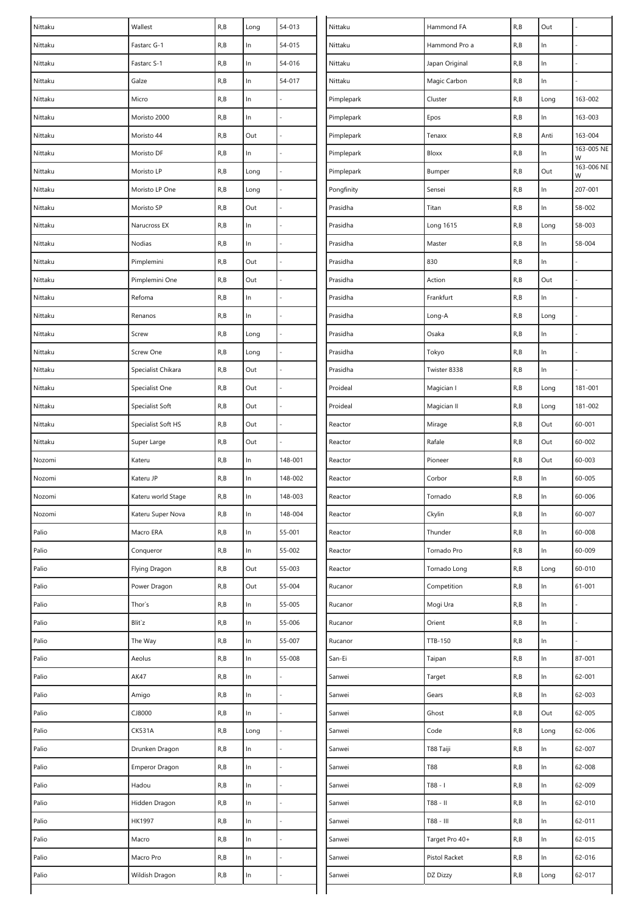| Nittaku | Wallest               | R, B                    | Long  | 54-013         | Nittaku    | Hammond FA     | R, B                                               | Out           |                 |
|---------|-----------------------|-------------------------|-------|----------------|------------|----------------|----------------------------------------------------|---------------|-----------------|
| Nittaku | Fastarc G-1           | R, B                    | In    | 54-015         | Nittaku    | Hammond Pro a  | R, B                                               | In            |                 |
| Nittaku | Fastarc S-1           | R, B                    | $\ln$ | 54-016         | Nittaku    | Japan Original | R, B                                               | In            |                 |
| Nittaku | Galze                 | R, B                    | In    | 54-017         | Nittaku    | Magic Carbon   | R, B                                               | In            |                 |
| Nittaku | Micro                 | R, B                    | $\ln$ |                | Pimplepark | Cluster        | R, B                                               | Long          | 163-002         |
| Nittaku | Moristo 2000          | R, B                    | $\ln$ |                | Pimplepark | Epos           | R, B                                               | In            | 163-003         |
| Nittaku | Moristo 44            | R, B                    | Out   |                | Pimplepark | Tenaxx         | R, B                                               | Anti          | 163-004         |
| Nittaku | Moristo DF            | R, B                    | $\ln$ |                | Pimplepark | Bloxx          | R, B                                               | In            | 163-005 NE<br>W |
| Nittaku | Moristo LP            | R, B                    | Long  |                | Pimplepark | Bumper         | R, B                                               | Out           | 163-006 NE<br>W |
| Nittaku | Moristo LP One        | R, B                    | Long  |                | Pongfinity | Sensei         | R, B                                               | In            | 207-001         |
| Nittaku | Moristo SP            | R, B                    | Out   |                | Prasidha   | Titan          | R, B                                               | $\ln$         | 58-002          |
| Nittaku | Narucross EX          | R, B                    | $\ln$ |                | Prasidha   | Long 1615      | R, B                                               | Long          | 58-003          |
| Nittaku | Nodias                | R, B                    | ln    |                | Prasidha   | Master         | R, B                                               | In            | 58-004          |
| Nittaku | Pimplemini            | R, B                    | Out   |                | Prasidha   | 830            | R, B                                               | In            |                 |
| Nittaku | Pimplemini One        | R, B                    | Out   |                | Prasidha   | Action         | R, B                                               | Out           |                 |
| Nittaku | Refoma                | R, B                    | ln    |                | Prasidha   | Frankfurt      | R, B                                               | In            |                 |
| Nittaku | Renanos               | R, B                    | $\ln$ |                | Prasidha   | Long-A         | R, B                                               | Long          |                 |
| Nittaku | Screw                 | R, B                    | Long  |                | Prasidha   | Osaka          | R, B                                               | In            |                 |
| Nittaku | Screw One             | R, B                    | Long  |                | Prasidha   | Tokyo          | R, B                                               | $\ln$         |                 |
| Nittaku | Specialist Chikara    | R, B                    | Out   |                | Prasidha   | Twister 8338   | R, B                                               | In            |                 |
| Nittaku | Specialist One        | R, B                    | Out   |                | Proideal   | Magician I     | R, B                                               | Long          | 181-001         |
| Nittaku | Specialist Soft       | R, B                    | Out   |                | Proideal   | Magician II    | R, B                                               | Long          | 181-002         |
| Nittaku | Specialist Soft HS    | R, B                    | Out   |                | Reactor    | Mirage         | R, B                                               | Out           | $60 - 001$      |
| Nittaku | Super Large           | R, B                    | Out   |                | Reactor    | Rafale         | R, B                                               | Out           | $60 - 002$      |
|         |                       |                         |       |                |            |                |                                                    |               |                 |
| Nozomi  | Kateru                | R, B                    | In    | 148-001        | Reactor    | Pioneer        | R, B                                               | Out           | 60-003          |
| Nozomi  | Kateru JP             | R, B                    | In    | 148-002        | Reactor    | Corbor         | R, B                                               | In            | $60 - 005$      |
| Nozomi  | Kateru world Stage    | R,B                     | In    | 148-003        | Reactor    | Tornado        | R, B                                               | In            | 60-006          |
| Nozomi  | Kateru Super Nova     | R, B                    | $\ln$ | 148-004        | Reactor    | Ckylin         | R, B                                               | $\ln$         | 60-007          |
| Palio   | Macro ERA             | R, B                    | $\ln$ | 55-001         | Reactor    | Thunder        | R, B                                               | $\mathsf{In}$ | 60-008          |
| Palio   | Conqueror             | R, B                    | $\ln$ | 55-002         | Reactor    | Tornado Pro    | R, B                                               | $\ln$         | 60-009          |
| Palio   | Flying Dragon         | R, B                    | Out   | 55-003         | Reactor    | Tornado Long   | R, B                                               | Long          | 60-010          |
| Palio   | Power Dragon          | R, B                    | Out   | 55-004         | Rucanor    | Competition    | R, B                                               | $\ln$         | $61 - 001$      |
| Palio   | Thor's                | R, B                    | $\ln$ | 55-005         | Rucanor    | Mogi Ura       | R, B                                               | $\ln$         |                 |
| Palio   | Blit`z                | R, B                    | $\ln$ | 55-006         | Rucanor    | Orient         | R, B                                               | $\ln$         |                 |
| Palio   | The Way               | R, B                    | $\ln$ | 55-007         | Rucanor    | TTB-150        | R, B                                               | ln            |                 |
| Palio   | Aeolus                | R, B                    | $\ln$ | 55-008         | San-Ei     | Taipan         | R, B                                               | $\ln$         | 87-001          |
| Palio   | AK47                  | R, B                    | $\ln$ |                | Sanwei     | Target         | R, B                                               | $\ln$         | $62 - 001$      |
| Palio   | Amigo                 | R, B                    | $\ln$ | $\overline{a}$ | Sanwei     | Gears          | R, B                                               | $\ln$         | 62-003          |
| Palio   | CJ8000                | R, B                    | $\ln$ |                | Sanwei     | Ghost          | R, B                                               | Out           | 62-005          |
| Palio   | <b>CK531A</b>         | R, B                    | Long  |                | Sanwei     | Code           | R, B                                               | Long          | 62-006          |
| Palio   | Drunken Dragon        | $\mathsf{R},\mathsf{B}$ | ln    |                | Sanwei     | T88 Taiji      | R, B                                               | In            | 62-007          |
| Palio   | <b>Emperor Dragon</b> | R, B                    | $\ln$ |                | Sanwei     | T88            | R, B                                               | $\ln$         | 62-008          |
| Palio   | Hadou                 | R, B                    | $\ln$ |                | Sanwei     | $1 - 88T$      | R, B                                               | $\ln$         | 62-009          |
| Palio   | Hidden Dragon         | R, B                    | $\ln$ |                | Sanwei     | T88 - II       | R, B                                               | $\ln$         | 62-010          |
| Palio   | HK1997                | R, B                    | $\ln$ |                | Sanwei     | T88 - III      | R, B                                               | $\ln$         | $62 - 011$      |
| Palio   | Macro                 | R, B                    | $\ln$ |                | Sanwei     | Target Pro 40+ | R, B                                               | In            | $62 - 015$      |
| Palio   | Macro Pro             | R, B                    | $\ln$ |                | Sanwei     | Pistol Racket  | R, B                                               | $\ln$         | 62-016          |
| Palio   | Wildish Dragon        | $\mathsf{R},\mathsf{B}$ | $\ln$ |                | Sanwei     | DZ Dizzy       | $\mathsf{R}_{\scriptscriptstyle\prime} \mathsf{B}$ | Long          | 62-017          |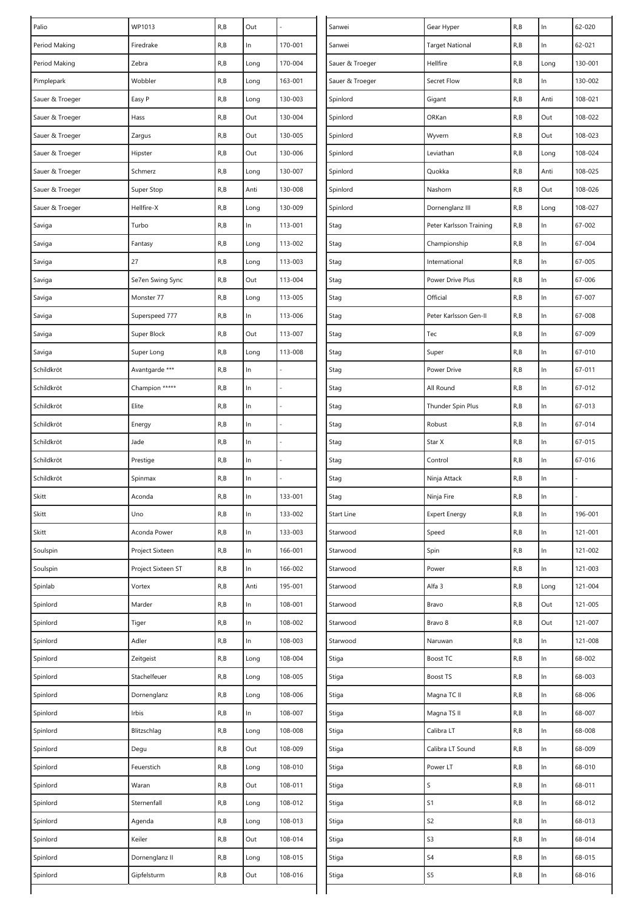| Palio           | WP1013             | R, B | Out   |                   | Sanwei          | Gear Hyper              | R, B | $\ln$ | 62-020     |
|-----------------|--------------------|------|-------|-------------------|-----------------|-------------------------|------|-------|------------|
| Period Making   | Firedrake          | R, B | In    | 170-001<br>Sanwei |                 | <b>Target National</b>  | R, B | In    | $62 - 021$ |
| Period Making   | Zebra              | R, B | Long  | 170-004           | Sauer & Troeger | Hellfire                | R,B  | Long  | 130-001    |
| Pimplepark      | Wobbler            | R, B | Long  | 163-001           | Sauer & Troeger | Secret Flow             | R, B | In    | 130-002    |
| Sauer & Troeger | Easy P             | R, B | Long  | 130-003           | Spinlord        | Gigant                  | R,B  | Anti  | 108-021    |
| Sauer & Troeger | Hass               | R, B | Out   | 130-004           | Spinlord        | ORKan                   | R, B | Out   | 108-022    |
| Sauer & Troeger | Zargus             | R, B | Out   | 130-005           | Spinlord        | Wyvern                  | R, B | Out   | 108-023    |
| Sauer & Troeger | Hipster            | R, B | Out   | 130-006           | Spinlord        | Leviathan               | R, B | Long  | 108-024    |
| Sauer & Troeger | Schmerz            | R, B | Long  | 130-007           | Spinlord        | Quokka                  | R,B  | Anti  | 108-025    |
| Sauer & Troeger | Super Stop         | R, B | Anti  | 130-008           | Spinlord        | Nashorn                 | R, B | Out   | 108-026    |
| Sauer & Troeger | Hellfire-X         | R, B | Long  | 130-009           | Spinlord        | Dornenglanz III         | R, B | Long  | 108-027    |
| Saviga          | Turbo              | R, B | ln    | 113-001           | Stag            | Peter Karlsson Training | R,B  | $\ln$ | 67-002     |
| Saviga          | Fantasy            | R, B | Long  | 113-002           | Stag            | Championship            | R, B | In    | 67-004     |
| Saviga          | 27                 | R, B | Long  | 113-003           | Stag            | International           | R, B | $\ln$ | 67-005     |
| Saviga          | Se7en Swing Sync   | R, B | Out   | 113-004           | Stag            | Power Drive Plus        | R, B | $\ln$ | 67-006     |
| Saviga          | Monster 77         | R, B | Long  | 113-005           | Stag            | Official                | R, B | $\ln$ | 67-007     |
| Saviga          | Superspeed 777     | R, B | ln    | 113-006           | Stag            | Peter Karlsson Gen-II   | R, B | $\ln$ | 67-008     |
| Saviga          | Super Block        | R, B | Out   | 113-007           | Stag            | Tec                     | R, B | $\ln$ | 67-009     |
| Saviga          | Super Long         | R, B | Long  | 113-008           | Stag            | Super                   | R, B | $\ln$ | 67-010     |
| Schildkröt      | Avantgarde ***     | R, B | ln    |                   | Stag            | Power Drive             | R,B  | $\ln$ | 67-011     |
| Schildkröt      | Champion *****     | R, B | $\ln$ |                   | Stag            | All Round               | R, B | $\ln$ | 67-012     |
| Schildkröt      | Elite              | R, B | $\ln$ |                   | Stag            | Thunder Spin Plus       | R, B | $\ln$ | 67-013     |
| Schildkröt      | Energy             | R, B | $\ln$ |                   | Stag            | Robust                  | R, B | $\ln$ | 67-014     |
| Schildkröt      | Jade               | R, B | $\ln$ |                   | Stag            | Star X                  | R, B | $\ln$ | 67-015     |
| Schildkröt      | Prestige           | R, B | ln    |                   | Stag            | Control                 | R,B  | $\ln$ | 67-016     |
| Schildkröt      | Spinmax            | R, B | $\ln$ |                   | Stag            | Ninja Attack            | R,B  | $\ln$ |            |
| Skitt           | Aconda             | R, B | In    | 133-001           | Stag            | Ninja Fire              | R, B | $\ln$ |            |
| Skitt           | Uno                | R, B | $\ln$ | 133-002           | Start Line      | <b>Expert Energy</b>    | R, B | In    | 196-001    |
| Skitt           | Aconda Power       | R, B | $\ln$ | 133-003           | Starwood        | Speed                   | R, B | $\ln$ | 121-001    |
| Soulspin        | Project Sixteen    | R, B | ln    | 166-001           | Starwood        | Spin                    | R, B | $\ln$ | 121-002    |
| Soulspin        | Project Sixteen ST | R, B | $\ln$ | 166-002           | Starwood        | Power                   | R, B | $\ln$ | 121-003    |
| Spinlab         | Vortex             | R, B | Anti  | 195-001           | Starwood        | Alfa 3                  | R, B | Long  | 121-004    |
| Spinlord        | Marder             | R, B | ln    | 108-001           | Starwood        | Bravo                   | R, B | Out   | 121-005    |
| Spinlord        | Tiger              | R, B | In    | 108-002           | Starwood        | Bravo 8                 | R,B  | Out   | 121-007    |
| Spinlord        | Adler              | R, B | $\ln$ | 108-003           | Starwood        | Naruwan                 | R,B  | $\ln$ | 121-008    |
| Spinlord        | Zeitgeist          | R, B | Long  | 108-004           | Stiga           | Boost TC                | R, B | $\ln$ | 68-002     |
| Spinlord        | Stachelfeuer       | R, B | Long  | 108-005           | Stiga           | Boost TS                | R,B  | $\ln$ | 68-003     |
| Spinlord        | Dornenglanz        | R, B | Long  | 108-006           | Stiga           | Magna TC II             | R, B | $\ln$ | 68-006     |
| Spinlord        | Irbis              | R, B | ln    | 108-007           | Stiga           | Magna TS II             | R, B | $\ln$ | 68-007     |
| Spinlord        | Blitzschlag        | R, B | Long  | 108-008           | Stiga           | Calibra LT              | R,B  | $\ln$ | 68-008     |
| Spinlord        | Degu               | R, B | Out   | 108-009           | Stiga           | Calibra LT Sound        | R, B | $\ln$ | 68-009     |
| Spinlord        | Feuerstich         | R, B | Long  | 108-010           | Stiga           | Power LT                | R,B  | $\ln$ | 68-010     |
| Spinlord        | Waran              | R, B | Out   | 108-011           | Stiga           | S                       | R, B | $\ln$ | 68-011     |
| Spinlord        | Sternenfall        | R, B | Long  | 108-012           | Stiga           | S1                      | R, B | $\ln$ | 68-012     |
| Spinlord        | Agenda             | R, B | Long  | 108-013           | Stiga           | S <sub>2</sub>          | R, B | $\ln$ | 68-013     |
| Spinlord        | Keiler             | R, B | Out   | 108-014           | Stiga           | S3                      | R,B  | $\ln$ | 68-014     |
| Spinlord        | Dornenglanz II     | R, B | Long  | 108-015           | Stiga           | S <sub>4</sub>          | R, B | $\ln$ | 68-015     |
| Spinlord        | Gipfelsturm        | R, B | Out   | 108-016           | Stiga           | S5                      | R, B | $\ln$ | 68-016     |
|                 |                    |      |       |                   |                 |                         |      |       |            |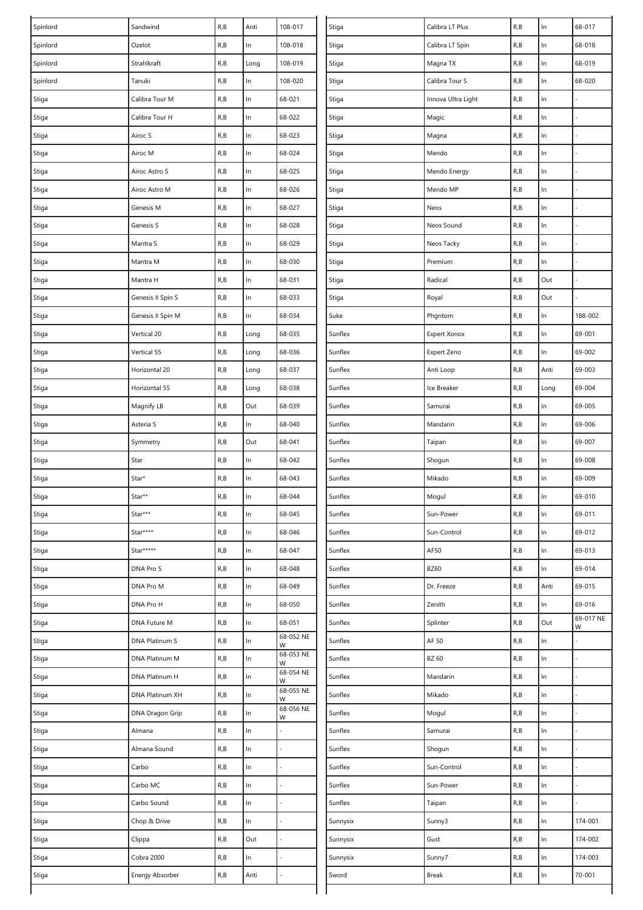| Spinlord | Sandwind          | R, B | Anti  | 108-017        | Stiga    | Calibra LT Plus     | R, B | $\ln$ | 68-017         |
|----------|-------------------|------|-------|----------------|----------|---------------------|------|-------|----------------|
| Spinlord | Ozelot            | R, B | In    | 108-018        | Stiga    | Calibra LT Spin     | R, B | $\ln$ | 68-018         |
| Spinlord | Strahlkraft       | R, B | Long  | 108-019        | Stiga    | Magna TX            | R, B | ln    | 68-019         |
| Spinlord | Tanuki            | R, B | $\ln$ | 108-020        | Stiga    | Calibra Tour S      | R, B | $\ln$ | 68-020         |
| Stiga    | Calibra Tour M    | R, B | $\ln$ | 68-021         | Stiga    | Innova Ultra Light  | R, B | In    |                |
| Stiga    | Calibra Tour H    | R, B | $\ln$ | 68-022         | Stiga    | Magic               | R, B | In    |                |
| Stiga    | Airoc S           | R, B | ln    | 68-023         | Stiga    | Magna               | R, B | In    |                |
| Stiga    | Airoc M           | R, B | $\ln$ | 68-024         | Stiga    | Mendo               | R, B | $\ln$ |                |
| Stiga    | Airoc Astro S     | R, B | ln    | 68-025         | Stiga    | Mendo Energy        | R, B | $\ln$ |                |
| Stiga    | Airoc Astro M     | R, B | $\ln$ | 68-026         | Stiga    | Mendo MP            | R, B | $\ln$ |                |
| Stiga    | Genesis M         | R, B | In    | 68-027         | Stiga    | Neos                | R, B | In    |                |
| Stiga    | Genesis S         | R, B | $\ln$ | 68-028         | Stiga    | Neos Sound          | R, B | $\ln$ |                |
| Stiga    | Mantra S          | R, B | $\ln$ | 68-029         | Stiga    | Neos Tacky          | R, B | $\ln$ |                |
| Stiga    | Mantra M          | R, B | In    | 68-030         | Stiga    | Premium             | R, B | $\ln$ |                |
| Stiga    | Mantra H          | R, B | $\ln$ | 68-031         | Stiga    | Radical             | R, B | Out   |                |
| Stiga    | Genesis II Spin S | R, B | ln    | 68-033         | Stiga    | Royal               | R, B | Out   |                |
| Stiga    | Genesis II Spin M | R, B | $\ln$ | 68-034         | Suke     | Phgntom             | R, B | $\ln$ | 188-002        |
| Stiga    | Vertical 20       | R, B | Long  | 68-035         | Sunflex  | <b>Expert Xonox</b> | R, B | $\ln$ | 69-001         |
| Stiga    | Vertical 55       | R, B | Long  | 68-036         | Sunflex  | Expert Zeno         | R, B | $\ln$ | 69-002         |
| Stiga    | Horizontal 20     | R, B | Long  | 68-037         | Sunflex  | Anti Loop           | R, B | Anti  | 69-003         |
| Stiga    | Horizontal 55     | R, B | Long  | 68-038         | Sunflex  | Ice Breaker         | R, B | Long  | 69-004         |
| Stiga    | Magnify LB        | R, B | Out   | 68-039         | Sunflex  | Samurai             | R, B | $\ln$ | 69-005         |
| Stiga    | Asteria S         | R, B | ln    | 68-040         | Sunflex  | Mandarin            | R, B | In    | 69-006         |
| Stiga    | Symmetry          | R, B | Out   | 68-041         | Sunflex  | Taipan              | R, B | $\ln$ | 69-007         |
| Stiga    | Star              | R, B | ln    | 68-042         | Sunflex  | Shogun              | R, B | $\ln$ | 69-008         |
| Stiga    | Star*             | R, B | ln    | 68-043         | Sunflex  | Mikado              | R, B | $\ln$ | 69-009         |
| Stiga    | Star**            | R, B | ln    | 68-044         | Sunflex  | Mogul               | R, B | In    | 69-010         |
| Stiga    | Star***           | R, B | ln    | 68-045         | Sunflex  | Sun-Power           | R, B | $\ln$ | 69-011         |
| Stiga    | Star****          | R, B | ln    | 68-046         | Sunflex  | Sun-Control         | R, B | $\ln$ | 69-012         |
| Stiga    | Star*****         | R, B | ln    | 68-047         | Sunflex  | AF50                | R, B | In    | 69-013         |
| Stiga    | DNA Pro S         | R, B | $\ln$ | 68-048         | Sunflex  | <b>BZ60</b>         | R, B | $\ln$ | 69-014         |
| Stiga    | DNA Pro M         | R, B | ln    | 68-049         | Sunflex  | Dr. Freeze          | R, B | Anti  | 69-015         |
| Stiga    | DNA Pro H         | R, B | $\ln$ | 68-050         | Sunflex  | Zenith              | R, B | In    | 69-016         |
| Stiga    | DNA Future M      | R, B | ln    | 68-051         | Sunflex  | Splinter            | R, B | Out   | 69-017 NE<br>W |
| Stiga    | DNA Platinum S    | R, B | ln    | 68-052 NE<br>W | Sunflex  | AF 50               | R, B | $\ln$ |                |
| Stiga    | DNA Platinum M    | R, B | ln    | 68-053 NE<br>W | Sunflex  | BZ 60               | R, B | $\ln$ |                |
| Stiga    | DNA Platinum H    | R, B | ln    | 68-054 NE<br>W | Sunflex  | Mandarin            | R, B | In    |                |
| Stiga    | DNA Platinum XH   | R, B | $\ln$ | 68-055 NE<br>W | Sunflex  | Mikado              | R, B | $\ln$ |                |
| Stiga    | DNA Dragon Grip   | R, B | ln    | 68-056 NE<br>W | Sunflex  | Mogul               | R, B | In    |                |
| Stiga    | Almana            | R, B | $\ln$ |                | Sunflex  | Samurai             | R, B | $\ln$ |                |
| Stiga    | Almana Sound      | R, B | $\ln$ |                | Sunflex  | Shogun              | R, B | $\ln$ |                |
| Stiga    | Carbo             | R, B | $\ln$ |                | Sunflex  | Sun-Control         | R, B | $\ln$ |                |
| Stiga    | Carbo MC          | R, B | $\ln$ |                | Sunflex  | Sun-Power           | R, B | In    |                |
| Stiga    | Carbo Sound       | R, B | ln    |                | Sunflex  | Taipan              | R, B | In    |                |
| Stiga    | Chop & Drive      | R, B | $\ln$ |                | Sunnysix | Sunny3              | R, B | $\ln$ | 174-001        |
| Stiga    | Clippa            | R, B | Out   |                | Sunnysix | Gust                | R, B | $\ln$ | 174-002        |
| Stiga    | Cobra 2000        | R, B | $\ln$ |                | Sunnysix | Sunny7              | R, B | $\ln$ | 174-003        |
| Stiga    | Energy Absorber   | R, B | Anti  |                | Sword    | Break               | R, B | In    | 70-001         |
|          |                   |      |       |                |          |                     |      |       |                |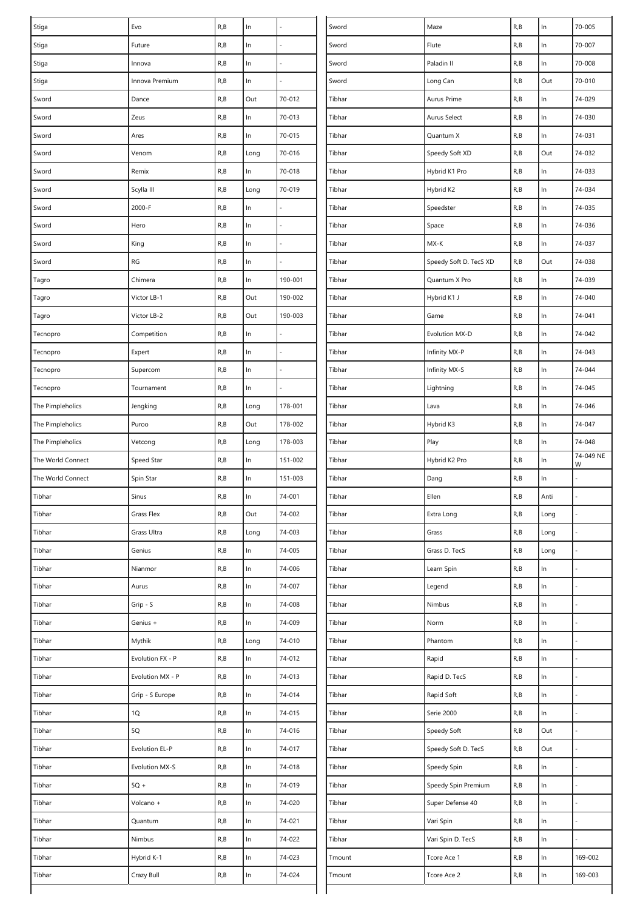| Stiga             | Evo               | R, B | $\ln$ |         | Sword  | Maze                   | R, B | In    | 70-005    |
|-------------------|-------------------|------|-------|---------|--------|------------------------|------|-------|-----------|
| Stiga             | Future            | R, B | $\ln$ |         | Sword  | Flute                  | R, B | $\ln$ | 70-007    |
| Stiga             | Innova            | R, B | $\ln$ |         | Sword  | Paladin II             | R, B | $\ln$ | 70-008    |
| Stiga             | Innova Premium    | R, B | $\ln$ |         | Sword  | Long Can               | R, B | Out   | 70-010    |
| Sword             | Dance             | R, B | Out   | 70-012  | Tibhar | Aurus Prime            | R, B | In    | 74-029    |
| Sword             | Zeus              | R, B | $\ln$ | 70-013  | Tibhar | Aurus Select           | R, B | In    | 74-030    |
| Sword             | Ares              | R, B | $\ln$ | 70-015  | Tibhar | Quantum X              | R, B | $\ln$ | 74-031    |
| Sword             | Venom             | R, B | Long  | 70-016  | Tibhar | Speedy Soft XD         | R, B | Out   | 74-032    |
| Sword             | Remix             | R, B | In    | 70-018  | Tibhar | Hybrid K1 Pro          | R, B | In    | 74-033    |
| Sword             | Scylla III        | R, B | Long  | 70-019  | Tibhar | Hybrid K2              | R, B | $\ln$ | 74-034    |
| Sword             | 2000-F            | R, B | ln    |         | Tibhar | Speedster              | R, B | $\ln$ | 74-035    |
| Sword             | Hero              | R, B | $\ln$ |         | Tibhar | Space                  | R, B | $\ln$ | 74-036    |
| Sword             | King              | R, B | ln    |         | Tibhar | MX-K                   | R, B | $\ln$ | 74-037    |
| Sword             | RG                | R, B | $\ln$ |         | Tibhar | Speedy Soft D. TecS XD | R, B | Out   | 74-038    |
| Tagro             | Chimera           | R, B | $\ln$ | 190-001 | Tibhar | Quantum X Pro          | R, B | $\ln$ | 74-039    |
| Tagro             | Victor LB-1       | R, B | Out   | 190-002 | Tibhar | Hybrid K1 J            | R, B | $\ln$ | 74-040    |
| Tagro             | Victor LB-2       | R, B | Out   | 190-003 | Tibhar | Game                   | R, B | $\ln$ | 74-041    |
| Tecnopro          | Competition       | R, B | ln    |         | Tibhar | Evolution MX-D         | R, B | $\ln$ | 74-042    |
| Tecnopro          | Expert            | R, B | $\ln$ |         | Tibhar | Infinity MX-P          | R, B | $\ln$ | 74-043    |
| Tecnopro          | Supercom          | R, B | $\ln$ |         | Tibhar | Infinity MX-S          | R, B | $\ln$ | 74-044    |
| Tecnopro          | Tournament        | R, B | $\ln$ |         | Tibhar | Lightning              | R, B | $\ln$ | 74-045    |
| The Pimpleholics  | Jengking          | R, B | Long  | 178-001 | Tibhar | Lava                   | R, B | $\ln$ | 74-046    |
| The Pimpleholics  | Puroo             | R, B | Out   | 178-002 | Tibhar | Hybrid K3              | R, B | $\ln$ | 74-047    |
| The Pimpleholics  | Vetcong           | R, B | Long  | 178-003 | Tibhar | Play                   | R, B | In    | 74-048    |
| The World Connect | Speed Star        | R, B | ln    | 151-002 | Tibhar | Hybrid K2 Pro          | R, B | In    | 74-049 NE |
| The World Connect | Spin Star         | R, B | $\ln$ | 151-003 | Tibhar | Dang                   | R, B | In    | W         |
| Tibhar            | Sinus             | R, B | ln    | 74-001  | Tibhar | Ellen                  | R, B | Anti  |           |
| Tibhar            | <b>Grass Flex</b> | R, B | Out   | 74-002  | Tibhar | Extra Long             | R, B | Long  |           |
| Tibhar            | Grass Ultra       | R, B | Long  | 74-003  | Tibhar | Grass                  | R, B | Long  |           |
| Tibhar            | Genius            | R, B | In    | 74-005  | Tibhar | Grass D. TecS          | R, B | Long  |           |
| Tibhar            | Nianmor           | R, B | $\ln$ | 74-006  | Tibhar | Learn Spin             | R, B | $\ln$ |           |
| Tibhar            | Aurus             | R, B | $\ln$ | 74-007  | Tibhar | Legend                 | R, B | $\ln$ |           |
| Tibhar            | Grip - S          | R, B | $\ln$ | 74-008  | Tibhar | Nimbus                 | R, B | $\ln$ |           |
| Tibhar            | Genius +          | R, B | ln    | 74-009  | Tibhar | Norm                   | R, B | $\ln$ |           |
| Tibhar            | Mythik            | R, B | Long  | 74-010  | Tibhar | Phantom                | R, B | $\ln$ |           |
| Tibhar            | Evolution FX - P  | R, B | $\ln$ | 74-012  | Tibhar | Rapid                  | R, B | $\ln$ |           |
| Tibhar            | Evolution MX - P  | R, B | $\ln$ | 74-013  | Tibhar | Rapid D. TecS          | R, B | $\ln$ |           |
| Tibhar            | Grip - S Europe   | R, B | ln    | 74-014  | Tibhar | Rapid Soft             | R, B | In    |           |
| Tibhar            | 1Q                | R, B | In    | 74-015  | Tibhar | Serie 2000             | R, B | $\ln$ |           |
| Tibhar            | $5Q$              | R, B | $\ln$ | 74-016  | Tibhar | Speedy Soft            | R, B | Out   |           |
| Tibhar            | Evolution EL-P    | R, B | $\ln$ | 74-017  | Tibhar | Speedy Soft D. TecS    | R, B | Out   |           |
| Tibhar            | Evolution MX-S    | R, B | $\ln$ | 74-018  | Tibhar | Speedy Spin            | R, B | In    |           |
| Tibhar            | $5Q +$            | R, B | $\ln$ | 74-019  | Tibhar | Speedy Spin Premium    | R, B | $\ln$ |           |
| Tibhar            | Volcano +         | R, B | $\ln$ | 74-020  | Tibhar | Super Defense 40       | R, B | $\ln$ |           |
| Tibhar            | Quantum           | R, B | $\ln$ | 74-021  | Tibhar | Vari Spin              | R, B | $\ln$ |           |
| Tibhar            | Nimbus            | R, B | $\ln$ | 74-022  | Tibhar | Vari Spin D. TecS      | R, B | ln    |           |
| Tibhar            | Hybrid K-1        | R, B | $\ln$ | 74-023  | Tmount | Tcore Ace 1            | R, B | $\ln$ | 169-002   |
| Tibhar            | Crazy Bull        | R, B | ln    | 74-024  | Tmount | Tcore Ace 2            | R, B | In    | 169-003   |
|                   |                   |      |       |         |        |                        |      |       |           |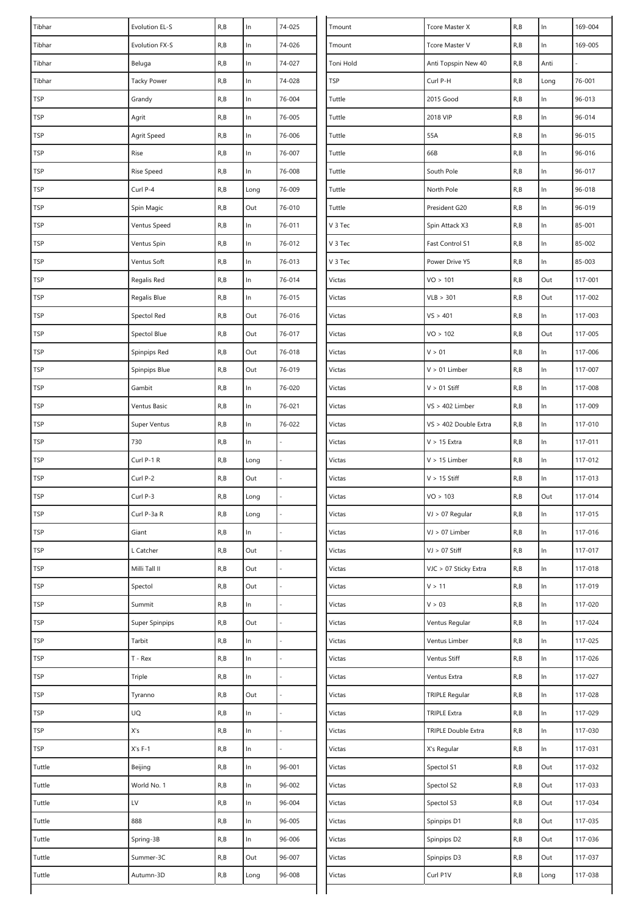| Tibhar                      | Evolution EL-S     | R, B | $\ln$ | 74-025           | Tmount     | Tcore Master X        | R, B | $\ln$         | 169-004 |
|-----------------------------|--------------------|------|-------|------------------|------------|-----------------------|------|---------------|---------|
| Tibhar                      | Evolution FX-S     | R, B | $\ln$ | 74-026<br>Tmount |            | Tcore Master V        | R, B | $\ln$         | 169-005 |
| Tibhar                      | Beluga             | R, B | $\ln$ | 74-027           | Toni Hold  | Anti Topspin New 40   | R, B | Anti          |         |
| Tibhar                      | <b>Tacky Power</b> | R, B | $\ln$ | 74-028           | <b>TSP</b> | Curl P-H              | R, B | Long          | 76-001  |
| <b>TSP</b>                  | Grandy             | R, B | $\ln$ | 76-004           | Tuttle     | 2015 Good             | R, B | In.           | 96-013  |
| <b>TSP</b>                  | Agrit              | R, B | ln    | 76-005           | Tuttle     | 2018 VIP              | R, B | $\ln$         | 96-014  |
| TSP                         | Agrit Speed        | R, B | $\ln$ | 76-006           | Tuttle     | 55A                   | R, B | $\ln$         | 96-015  |
| <b>TSP</b>                  | Rise               | R, B | $\ln$ | 76-007           | Tuttle     | 66B                   | R, B | $\ln$         | 96-016  |
| <b>TSP</b>                  | Rise Speed         | R, B | $\ln$ | 76-008           | Tuttle     | South Pole            | R, B | ln            | 96-017  |
| <b>TSP</b>                  | Curl P-4           | R, B | Long  | 76-009           | Tuttle     | North Pole            | R, B | $\ln$         | 96-018  |
| <b>TSP</b>                  | Spin Magic         | R, B | Out   | 76-010           | Tuttle     | President G20         | R, B | $\ln$         | 96-019  |
| <b>TSP</b>                  | Ventus Speed       | R, B | $\ln$ | 76-011           | V 3 Tec    | Spin Attack X3        | R, B | $\ln$         | 85-001  |
| $\ensuremath{\mathsf{TSP}}$ | Ventus Spin        | R, B | $\ln$ | 76-012           | V 3 Tec    | Fast Control S1       | R, B | $\ln$         | 85-002  |
| <b>TSP</b>                  | Ventus Soft        | R, B | $\ln$ | 76-013           | V 3 Tec    | Power Drive Y5        | R, B | $\ln$         | 85-003  |
| <b>TSP</b>                  | Regalis Red        | R, B | $\ln$ | 76-014           | Victas     | VO > 101              | R, B | Out           | 117-001 |
| <b>TSP</b>                  | Regalis Blue       | R, B | ln    | 76-015           | Victas     | VLB > 301             | R, B | Out           | 117-002 |
| TSP                         | Spectol Red        | R, B | Out   | 76-016           | Victas     | VS > 401              | R, B | $\ln$         | 117-003 |
| TSP                         | Spectol Blue       | R, B | Out   | 76-017           | Victas     | VO > 102              | R, B | Out           | 117-005 |
| <b>TSP</b>                  | Spinpips Red       | R, B | Out   | 76-018           | Victas     | V > 01                | R, B | $\ln$         | 117-006 |
| <b>TSP</b>                  | Spinpips Blue      | R, B | Out   | 76-019           | Victas     | $V > 01$ Limber       | R, B | $\ln$         | 117-007 |
| TSP                         | Gambit             | R, B | ln    | 76-020           | Victas     | $V > 01$ Stiff        | R, B | $\mathsf{In}$ | 117-008 |
| TSP                         | Ventus Basic       | R, B | $\ln$ | 76-021           | Victas     | $VS > 402$ Limber     | R, B | $\ln$         | 117-009 |
| TSP                         | Super Ventus       | R, B | $\ln$ | 76-022           | Victas     | VS > 402 Double Extra | R, B | $\ln$         | 117-010 |
| <b>TSP</b>                  | 730                | R, B | ln    |                  | Victas     | $V > 15$ Extra        | R, B | $\ln$         | 117-011 |
| <b>TSP</b>                  | Curl P-1 R         | R, B | Long  |                  | Victas     | $V > 15$ Limber       | R, B | $\ln$         | 117-012 |
| <b>TSP</b>                  | Curl P-2           | R, B | Out   |                  | Victas     | $V > 15$ Stiff        | R, B | $\ln$         | 117-013 |
| <b>TSP</b>                  | Curl P-3           | R, B | Long  |                  | Victas     | VO > 103              | R, B | Out           | 117-014 |
| <b>TSP</b>                  | Curl P-3a R        | R, B | Long  |                  | Victas     | $VJ > 07$ Regular     | R, B | $\ln$         | 117-015 |
| <b>TSP</b>                  | Giant              | R, B | $\ln$ |                  | Victas     | VJ > 07 Limber        | R, B | $\ln$         | 117-016 |
| <b>TSP</b>                  | L Catcher          | R, B | Out   |                  | Victas     | $VI > 07$ Stiff       | R, B | $\ln$         | 117-017 |
| <b>TSP</b>                  | Milli Tall II      | R, B | Out   | L,               | Victas     | VJC > 07 Sticky Extra | R, B | $\ln$         | 117-018 |
| TSP                         | Spectol            | R, B | Out   |                  | Victas     | V > 11                | R, B | $\ln$         | 117-019 |
| <b>TSP</b>                  | Summit             | R, B | $\ln$ |                  | Victas     | V > 03                | R, B | $\ln$         | 117-020 |
| TSP                         | Super Spinpips     | R, B | Out   |                  | Victas     | Ventus Regular        | R, B | $\ln$         | 117-024 |
| <b>TSP</b>                  | Tarbit             | R, B | ln    |                  | Victas     | Ventus Limber         | R, B | $\ln$         | 117-025 |
| TSP                         | $T - Rex$          | R, B | $\ln$ |                  | Victas     | Ventus Stiff          | R, B | $\ln$         | 117-026 |
| TSP                         | Triple             | R, B | $\ln$ |                  | Victas     | Ventus Extra          | R, B | ln            | 117-027 |
| <b>TSP</b>                  | Tyranno            | R, B | Out   |                  | Victas     | <b>TRIPLE Regular</b> | R, B | ln            | 117-028 |
| <b>TSP</b>                  | UQ                 | R, B | ln    |                  | Victas     | <b>TRIPLE Extra</b>   | R, B | $\ln$         | 117-029 |
| <b>TSP</b>                  | X's                | R, B | $\ln$ |                  | Victas     | TRIPLE Double Extra   | R, B | $\ln$         | 117-030 |
| TSP                         | $X's F-1$          | R, B | $\ln$ |                  | Victas     | X's Regular           | R, B | $\ln$         | 117-031 |
| Tuttle                      | Beijing            | R, B | $\ln$ | 96-001           | Victas     | Spectol S1            | R, B | Out           | 117-032 |
| Tuttle                      | World No. 1        | R, B | ln    | 96-002           | Victas     | Spectol S2            | R, B | Out           | 117-033 |
| Tuttle                      | LV                 | R, B | $\ln$ | 96-004           | Victas     | Spectol S3            | R, B | Out           | 117-034 |
| Tuttle                      | 888                | R, B | $\ln$ | 96-005           | Victas     | Spinpips D1           | R, B | Out           | 117-035 |
| Tuttle                      | Spring-3B          | R, B | $\ln$ | 96-006           | Victas     | Spinpips D2           | R, B | Out           | 117-036 |
| Tuttle                      | Summer-3C          | R, B | Out   | 96-007           | Victas     | Spinpips D3           | R, B | Out           | 117-037 |
| Tuttle                      | Autumn-3D          | R, B | Long  | 96-008           | Victas     | Curl P1V              | R, B | Long          | 117-038 |
|                             |                    |      |       |                  |            |                       |      |               |         |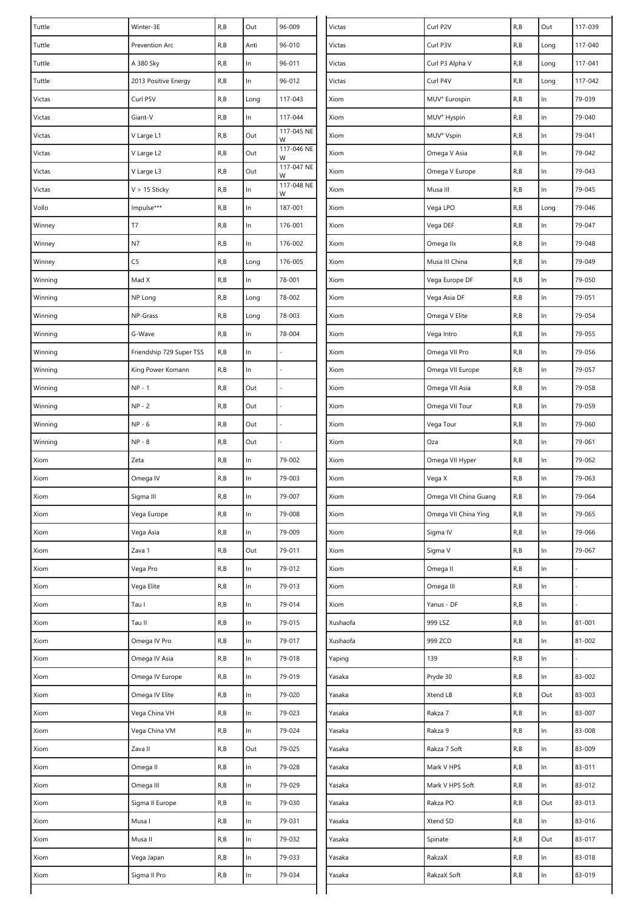| Tuttle  | Winter-3E                | R, B | Out   | 96-009           | Victas   | Curl P2V              | R, B | Out   | 117-039 |
|---------|--------------------------|------|-------|------------------|----------|-----------------------|------|-------|---------|
| Tuttle  | Prevention Arc           | R, B | Anti  | 96-010<br>Victas |          | Curl P3V              | R, B | Long  | 117-040 |
| Tuttle  | A 380 Sky                | R, B | $\ln$ | 96-011           | Victas   | Curl P3 Alpha V       | R, B | Long  | 117-041 |
| Tuttle  | 2013 Positive Energy     | R, B | $\ln$ | 96-012           | Victas   | Curl P4V              | R, B | Long  | 117-042 |
| Victas  | Curl P5V                 | R, B | Long  | 117-043          | Xiom     | MUV° Eurospin         | R, B | In    | 79-039  |
| Victas  | Giant-V                  | R, B | In    | 117-044          | Xiom     | MUV° Hyspin           | R, B | $\ln$ | 79-040  |
| Victas  | V Large L1               | R, B | Out   | 117-045 NE<br>W  | Xiom     | MUV° Vspin            | R, B | $\ln$ | 79-041  |
| Victas  | V Large L2               | R, B | Out   | 117-046 NE<br>W  | Xiom     | Omega V Asia          | R, B | $\ln$ | 79-042  |
| Victas  | V Large L3               | R, B | Out   | 117-047 NE<br>W  | Xiom     | Omega V Europe        | R, B | $\ln$ | 79-043  |
| Victas  | $V > 15$ Sticky          | R, B | $\ln$ | 117-048 NE<br>W  | Xiom     | Musa III              | R, B | $\ln$ | 79-045  |
| Vollo   | Impulse***               | R, B | $\ln$ | 187-001          | Xiom     | Vega LPO              | R, B | Long  | 79-046  |
| Winney  | T7                       | R, B | $\ln$ | 176-001          | Xiom     | Vega DEF              | R, B | $\ln$ | 79-047  |
| Winney  | N7                       | R, B | ln    | 176-002          | Xiom     | Omega IIx             | R, B | $\ln$ | 79-048  |
| Winney  | C <sub>5</sub>           | R, B | Long  | 176-005          | Xiom     | Musa III China        | R, B | $\ln$ | 79-049  |
| Winning | Mad X                    | R, B | In    | 78-001           | Xiom     | Vega Europe DF        | R, B | $\ln$ | 79-050  |
| Winning | NP Long                  | R, B | Long  | 78-002           | Xiom     | Vega Asia DF          | R,B  | $\ln$ | 79-051  |
| Winning | NP-Grass                 | R, B | Long  | 78-003           | Xiom     | Omega V Elite         | R, B | $\ln$ | 79-054  |
| Winning | G-Wave                   | R, B | ln    | 78-004           | Xiom     | Vega Intro            | R, B | $\ln$ | 79-055  |
| Winning | Friendship 729 Super TSS | R, B | $\ln$ |                  | Xiom     | Omega VII Pro         | R, B | $\ln$ | 79-056  |
| Winning | King Power Komann        | R, B | $\ln$ |                  | Xiom     | Omega VII Europe      | R, B | $\ln$ | 79-057  |
| Winning | $NP - 1$                 | R, B | Out   |                  | Xiom     | Omega VII Asia        | R, B | $\ln$ | 79-058  |
| Winning | $NP - 2$                 | R, B | Out   |                  | Xiom     | Omega VII Tour        | R, B | $\ln$ | 79-059  |
| Winning | $NP - 6$                 | R, B | Out   |                  | Xiom     | Vega Tour             | R,B  | $\ln$ | 79-060  |
| Winning | $NP - 8$                 | R, B | Out   |                  | Xiom     | Oza                   | R, B | $\ln$ | 79-061  |
| Xiom    | Zeta                     | R, B | In    | 79-002           | Xiom     | Omega VII Hyper       | R,B  | $\ln$ | 79-062  |
| Xiom    | Omega IV                 | R, B | In    | 79-003           | Xiom     | Vega X                | R, B | ln    | 79-063  |
| Xiom    | Sigma III                | R, B | In    | 79-007           | Xiom     | Omega VII China Guang | R, B | $\ln$ | 79-064  |
| Xiom    | Vega Europe              | R, B | ln    | 79-008           | Xiom     | Omega VII China Ying  | R, B | ln    | 79-065  |
| Xiom    | Vega Asia                | R, B | ln    | 79-009           | Xiom     | Sigma IV              | R, B | $\ln$ | 79-066  |
| Xiom    | Zava 1                   | R, B | Out   | 79-011           | Xiom     | Sigma V               | R, B | $\ln$ | 79-067  |
| Xiom    | Vega Pro                 | R, B | $\ln$ | 79-012           | Xiom     | Omega II              | R, B | $\ln$ |         |
| Xiom    | Vega Elite               | R, B | $\ln$ | 79-013           | Xiom     | Omega III             | R, B | $\ln$ |         |
| Xiom    | Tau I                    | R, B | $\ln$ | 79-014           | Xiom     | Yanus - DF            | R, B | $\ln$ |         |
| Xiom    | Tau II                   | R, B | $\ln$ | 79-015           | Xushaofa | 999 LSZ               | R, B | $\ln$ | 81-001  |
| Xiom    | Omega IV Pro             | R, B | ln    | 79-017           | Xushaofa | 999 ZCD               | R, B | $\ln$ | 81-002  |
| Xiom    | Omega IV Asia            | R, B | $\ln$ | 79-018           | Yaping   | 139                   | R, B | $\ln$ |         |
| Xiom    | Omega IV Europe          | R, B | $\ln$ | 79-019           | Yasaka   | Pryde 30              | R,B  | ln    | 83-002  |
| Xiom    | Omega IV Elite           | R, B | $\ln$ | 79-020           | Yasaka   | Xtend LB              | R, B | Out   | 83-003  |
| Xiom    | Vega China VH            | R, B | $\ln$ | 79-023           | Yasaka   | Rakza 7               | R, B | $\ln$ | 83-007  |
| Xiom    | Vega China VM            | R, B | $\ln$ | 79-024           | Yasaka   | Rakza 9               | R, B | $\ln$ | 83-008  |
| Xiom    | Zava II                  | R, B | Out   | 79-025           | Yasaka   | Rakza 7 Soft          | R, B | $\ln$ | 83-009  |
| Xiom    | Omega II                 | R, B | $\ln$ | 79-028           | Yasaka   | Mark V HPS            | R, B | $\ln$ | 83-011  |
| Xiom    | Omega III                | R, B | ln    | 79-029           | Yasaka   | Mark V HPS Soft       | R, B | ln    | 83-012  |
| Xiom    | Sigma II Europe          | R, B | $\ln$ | 79-030           | Yasaka   | Rakza PO              | R, B | Out   | 83-013  |
| Xiom    | Musa I                   | R, B | $\ln$ | 79-031           | Yasaka   | Xtend SD              | R, B | $\ln$ | 83-016  |
| Xiom    | Musa II                  | R, B | $\ln$ | 79-032           | Yasaka   | Spinate               | R, B | Out   | 83-017  |
| Xiom    | Vega Japan               | R, B | $\ln$ | 79-033           | Yasaka   | RakzaX                | R,B  | ln    | 83-018  |
| Xiom    | Sigma II Pro             | R, B | ln    | 79-034           | Yasaka   | RakzaX Soft           | R, B | $\ln$ | 83-019  |
|         |                          |      |       |                  |          |                       |      |       |         |